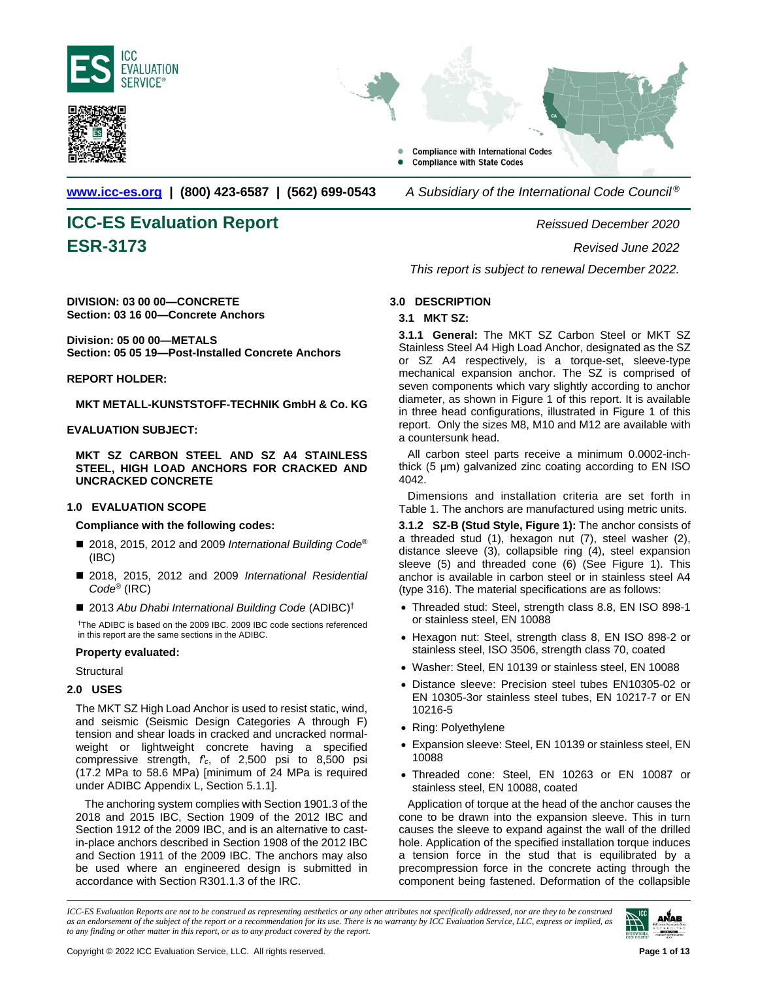





**[www.icc-es.org](http://www.icc-es.org/) | (800) 423-6587 | (562) 699-0543** *A Subsidiary of the International Code Council ®*

# **ICC-ES Evaluation Report** *Reissued December 2020* **ESR-3173** *Revised June 2022*

**DIVISION: 03 00 00—CONCRETE Section: 03 16 00—Concrete Anchors**

**Division: 05 00 00—METALS Section: 05 05 19—Post-Installed Concrete Anchors**

# **REPORT HOLDER:**

**MKT METALL-KUNSTSTOFF-TECHNIK GmbH & Co. KG**

# **EVALUATION SUBJECT:**

**MKT SZ CARBON STEEL AND SZ A4 STAINLESS STEEL, HIGH LOAD ANCHORS FOR CRACKED AND UNCRACKED CONCRETE**

# **1.0 EVALUATION SCOPE**

**Compliance with the following codes:**

- 2018, 2015, 2012 and 2009 *International Building Code<sup>®</sup>* (IBC)
- 2018, 2015, 2012 and 2009 *International Residential Code*® (IRC)
- 2013 Abu Dhabi International Building Code (ADIBC)<sup>†</sup>

†The ADIBC is based on the 2009 IBC. 2009 IBC code sections referenced in this report are the same sections in the ADIBC.

# **Property evaluated:**

**Structural** 

# **2.0 USES**

The MKT SZ High Load Anchor is used to resist static, wind, and seismic (Seismic Design Categories A through F) tension and shear loads in cracked and uncracked normalweight or lightweight concrete having a specified compressive strength, *f′c*, of 2,500 psi to 8,500 psi (17.2 MPa to 58.6 MPa) [minimum of 24 MPa is required under ADIBC Appendix L, Section 5.1.1].

The anchoring system complies with Section 1901.3 of the 2018 and 2015 IBC, Section 1909 of the 2012 IBC and Section 1912 of the 2009 IBC, and is an alternative to castin-place anchors described in Section 1908 of the 2012 IBC and Section 1911 of the 2009 IBC. The anchors may also be used where an engineered design is submitted in accordance with Section R301.1.3 of the IRC.

*This report is subject to renewal December 2022.*

# **3.0 DESCRIPTION**

# **3.1 MKT SZ:**

**3.1.1 General:** The MKT SZ Carbon Steel or MKT SZ Stainless Steel A4 High Load Anchor, designated as the SZ or SZ A4 respectively, is a torque-set, sleeve-type mechanical expansion anchor. The SZ is comprised of seven components which vary slightly according to anchor diameter, as shown in Figure 1 of this report. It is available in three head configurations, illustrated in Figure 1 of this report. Only the sizes M8, M10 and M12 are available with a countersunk head.

All carbon steel parts receive a minimum 0.0002-inchthick (5 μm) galvanized zinc coating according to EN ISO 4042.

Dimensions and installation criteria are set forth in Table 1. The anchors are manufactured using metric units.

**3.1.2 SZ-B (Stud Style, Figure 1):** The anchor consists of a threaded stud (1), hexagon nut (7), steel washer (2), distance sleeve (3), collapsible ring (4), steel expansion sleeve (5) and threaded cone (6) (See Figure 1). This anchor is available in carbon steel or in stainless steel A4 (type 316). The material specifications are as follows:

- Threaded stud: Steel, strength class 8.8, EN ISO 898-1 or stainless steel, EN 10088
- Hexagon nut: Steel, strength class 8, EN ISO 898-2 or stainless steel, ISO 3506, strength class 70, coated
- Washer: Steel, EN 10139 or stainless steel, EN 10088
- Distance sleeve: Precision steel tubes EN10305-02 or EN 10305-3or stainless steel tubes, EN 10217-7 or EN 10216-5
- Ring: Polyethylene
- Expansion sleeve: Steel, EN 10139 or stainless steel, EN 10088
- Threaded cone: Steel, EN 10263 or EN 10087 or stainless steel, EN 10088, coated

Application of torque at the head of the anchor causes the cone to be drawn into the expansion sleeve. This in turn causes the sleeve to expand against the wall of the drilled hole. Application of the specified installation torque induces a tension force in the stud that is equilibrated by a precompression force in the concrete acting through the component being fastened. Deformation of the collapsible

*ICC-ES Evaluation Reports are not to be construed as representing aesthetics or any other attributes not specifically addressed, nor are they to be construed as an endorsement of the subject of the report or a recommendation for its use. There is no warranty by ICC Evaluation Service, LLC, express or implied, as to any finding or other matter in this report, or as to any product covered by the report.*

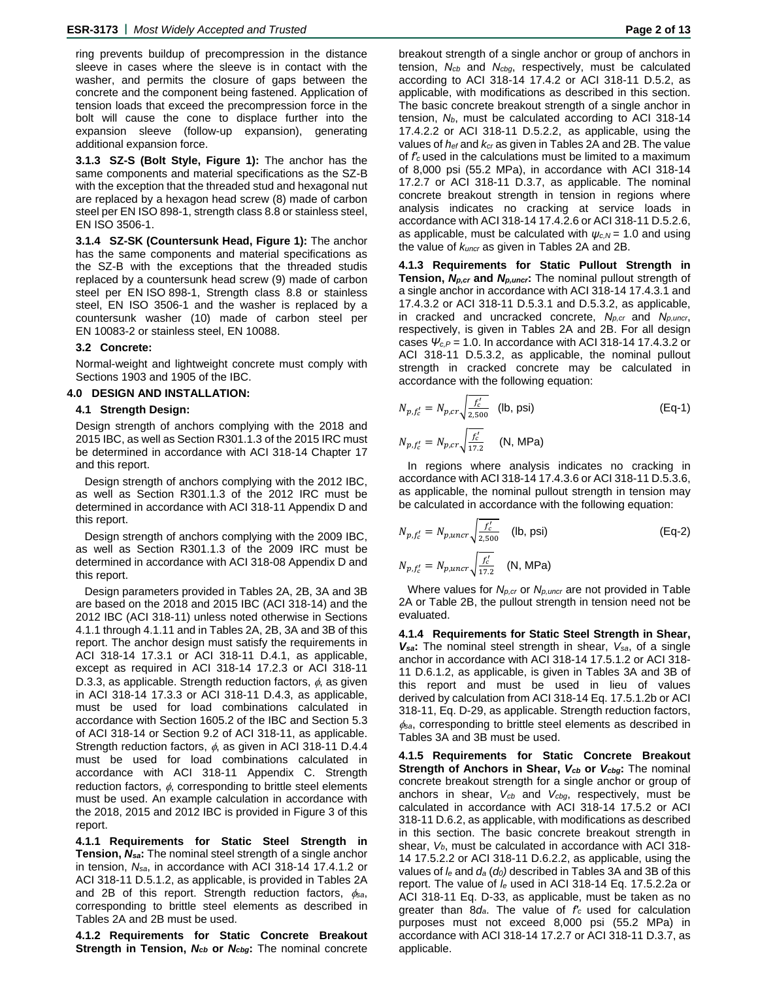ring prevents buildup of precompression in the distance sleeve in cases where the sleeve is in contact with the washer, and permits the closure of gaps between the concrete and the component being fastened. Application of tension loads that exceed the precompression force in the bolt will cause the cone to displace further into the expansion sleeve (follow-up expansion), generating additional expansion force.

**3.1.3 SZ-S (Bolt Style, Figure 1):** The anchor has the same components and material specifications as the SZ-B with the exception that the threaded stud and hexagonal nut are replaced by a hexagon head screw (8) made of carbon steel per EN ISO 898-1, strength class 8.8 or stainless steel, EN ISO 3506-1.

**3.1.4 SZ-SK (Countersunk Head, Figure 1):** The anchor has the same components and material specifications as the SZ-B with the exceptions that the threaded studis replaced by a countersunk head screw (9) made of carbon steel per EN ISO 898-1, Strength class 8.8 or stainless steel, EN ISO 3506-1 and the washer is replaced by a countersunk washer (10) made of carbon steel per EN 10083-2 or stainless steel, EN 10088.

#### **3.2 Concrete:**

Normal-weight and lightweight concrete must comply with Sections 1903 and 1905 of the IBC.

#### **4.0 DESIGN AND INSTALLATION:**

#### **4.1 Strength Design:**

Design strength of anchors complying with the 2018 and 2015 IBC, as well as Section R301.1.3 of the 2015 IRC must be determined in accordance with ACI 318-14 Chapter 17 and this report.

Design strength of anchors complying with the 2012 IBC, as well as Section R301.1.3 of the 2012 IRC must be determined in accordance with ACI 318-11 Appendix D and this report.

Design strength of anchors complying with the 2009 IBC, as well as Section R301.1.3 of the 2009 IRC must be determined in accordance with ACI 318-08 Appendix D and this report.

Design parameters provided in Tables 2A, 2B, 3A and 3B are based on the 2018 and 2015 IBC (ACI 318-14) and the 2012 IBC (ACI 318-11) unless noted otherwise in Sections 4.1.1 through 4.1.11 and in Tables 2A, 2B, 3A and 3B of this report. The anchor design must satisfy the requirements in ACI 318-14 17.3.1 or ACI 318-11 D.4.1, as applicable, except as required in ACI 318-14 17.2.3 or ACI 318-11 D.3.3, as applicable. Strength reduction factors,  $\phi$ , as given in ACI 318-14 17.3.3 or ACI 318-11 D.4.3, as applicable, must be used for load combinations calculated in accordance with Section 1605.2 of the IBC and Section 5.3 of ACI 318-14 or Section 9.2 of ACI 318-11, as applicable. Strength reduction factors,  $\phi$ , as given in ACI 318-11 D.4.4 must be used for load combinations calculated in accordance with ACI 318-11 Appendix C. Strength reduction factors,  $\phi$ , corresponding to brittle steel elements must be used. An example calculation in accordance with the 2018, 2015 and 2012 IBC is provided in Figure 3 of this report.

**4.1.1 Requirements for Static Steel Strength in Tension,** *Nsa***:** The nominal steel strength of a single anchor in tension, *Nsa*, in accordance with ACI 318-14 17.4.1.2 or ACI 318-11 D.5.1.2, as applicable, is provided in Tables 2A and 2B of this report. Strength reduction factors,  $\phi_{sa}$ , corresponding to brittle steel elements as described in Tables 2A and 2B must be used.

**4.1.2 Requirements for Static Concrete Breakout Strength in Tension,** *Ncb* **or** *Ncbg***:** The nominal concrete

breakout strength of a single anchor or group of anchors in tension, *Ncb* and *Ncbg*, respectively, must be calculated according to ACI 318-14 17.4.2 or ACI 318-11 D.5.2, as applicable, with modifications as described in this section. The basic concrete breakout strength of a single anchor in tension, *Nb*, must be calculated according to ACI 318-14 17.4.2.2 or ACI 318-11 D.5.2.2, as applicable, using the values of *hef* and *kcr* as given in Tables 2A and 2B. The value of *f′c* used in the calculations must be limited to a maximum of 8,000 psi (55.2 MPa), in accordance with ACI 318-14 17.2.7 or ACI 318-11 D.3.7, as applicable. The nominal concrete breakout strength in tension in regions where analysis indicates no cracking at service loads in accordance with ACI 318-14 17.4.2.6 or ACI 318-11 D.5.2.6, as applicable, must be calculated with *ψc,N* = 1.0 and using the value of *kuncr* as given in Tables 2A and 2B.

**4.1.3 Requirements for Static Pullout Strength in Tension,** *Np,cr* **and** *Np,uncr***:** The nominal pullout strength of a single anchor in accordance with ACI 318-14 17.4.3.1 and 17.4.3.2 or ACI 318-11 D.5.3.1 and D.5.3.2, as applicable, in cracked and uncracked concrete, *Np,cr* and *Np,uncr*, respectively, is given in Tables 2A and 2B. For all design cases *Ψc,P* = 1.0. In accordance with ACI 318-14 17.4.3.2 or ACI 318-11 D.5.3.2, as applicable, the nominal pullout strength in cracked concrete may be calculated in accordance with the following equation:

$$
N_{p, f'_c} = N_{p, cr} \sqrt{\frac{f'_c}{2,500}} \quad \text{(lb, psi)}
$$
\n
$$
N_{p, f'_c} = N_{p, cr} \sqrt{\frac{f'_c}{17.2}} \quad \text{(N, MPa)}
$$
\n(Eq-1)

In regions where analysis indicates no cracking in accordance with ACI 318-14 17.4.3.6 or ACI 318-11 D.5.3.6, as applicable, the nominal pullout strength in tension may be calculated in accordance with the following equation:

$$
N_{p,f'_c} = N_{p,uncr} \sqrt{\frac{f'_c}{2,500}}
$$
 (lb, psi) (Eq-2)  

$$
N_{p,f'_c} = N_{p,uncr} \sqrt{\frac{f'_c}{17.2}}
$$
 (N, MPa)

Where values for *Np,cr* or *Np,uncr* are not provided in Table 2A or Table 2B, the pullout strength in tension need not be evaluated.

**4.1.4 Requirements for Static Steel Strength in Shear,**  *Vsa***:** The nominal steel strength in shear, *Vsa*, of a single anchor in accordance with ACI 318-14 17.5.1.2 or ACI 318- 11 D.6.1.2, as applicable, is given in Tables 3A and 3B of this report and must be used in lieu of values derived by calculation from ACI 318-14 Eq. 17.5.1.2b or ACI 318-11, Eq. D-29, as applicable. Strength reduction factors,  $\phi$ <sub>sa</sub>, corresponding to brittle steel elements as described in Tables 3A and 3B must be used.

**4.1.5 Requirements for Static Concrete Breakout Strength of Anchors in Shear,** *Vcb* **or** *Vcbg***:** The nominal concrete breakout strength for a single anchor or group of anchors in shear, *Vcb* and *Vcbg*, respectively, must be calculated in accordance with ACI 318-14 17.5.2 or ACI 318-11 D.6.2, as applicable, with modifications as described in this section. The basic concrete breakout strength in shear, *Vb*, must be calculated in accordance with ACI 318- 14 17.5.2.2 or ACI 318-11 D.6.2.2, as applicable, using the values of *l<sup>e</sup>* and *d<sup>a</sup>* (*d0)* described in Tables 3A and 3B of this report. The value of *l<sup>e</sup>* used in ACI 318-14 Eq. 17.5.2.2a or ACI 318-11 Eq. D-33, as applicable, must be taken as no greater than 8*da*. The value of *f′<sup>c</sup>* used for calculation purposes must not exceed 8,000 psi (55.2 MPa) in accordance with ACI 318-14 17.2.7 or ACI 318-11 D.3.7, as applicable.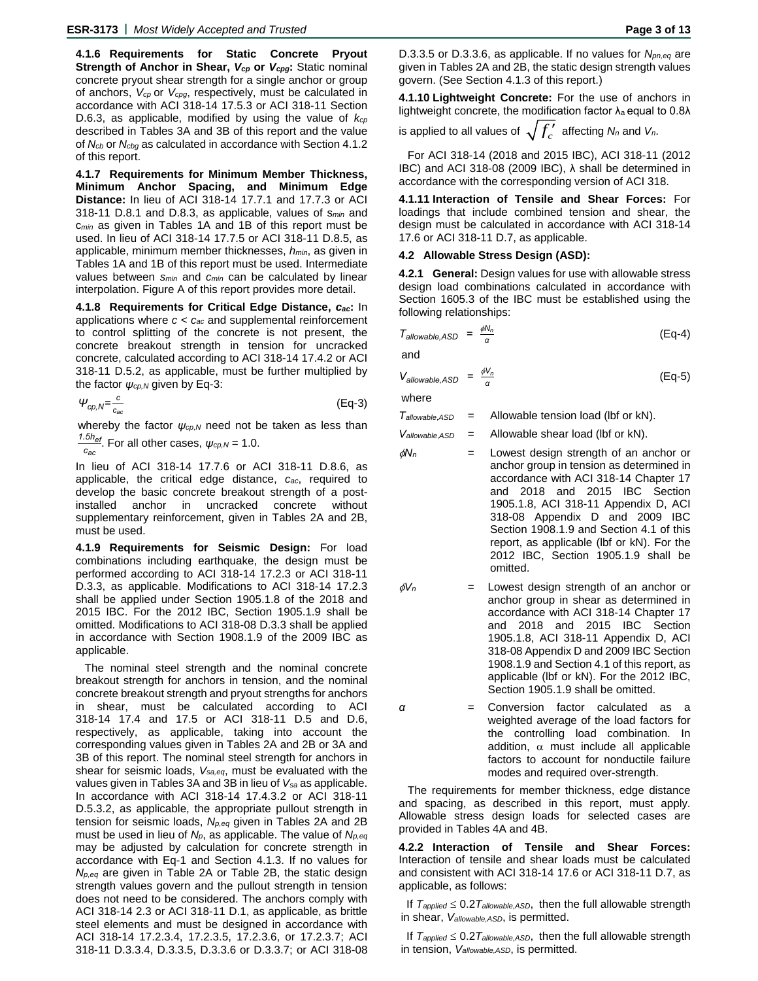**4.1.6 Requirements for Static Concrete Pryout Strength of Anchor in Shear,** *Vcp* **or** *Vcpg***:** Static nominal concrete pryout shear strength for a single anchor or group of anchors, *Vcp* or *Vcpg*, respectively, must be calculated in accordance with ACI 318-14 17.5.3 or ACI 318-11 Section D.6.3, as applicable, modified by using the value of *kcp* described in Tables 3A and 3B of this report and the value of *Ncb* or *Ncbg* as calculated in accordance with Section 4.1.2 of this report.

**4.1.7 Requirements for Minimum Member Thickness, Minimum Anchor Spacing, and Minimum Edge Distance:** In lieu of ACI 318-14 17.7.1 and 17.7.3 or ACI 318-11 D.8.1 and D.8.3, as applicable, values of s*min* and c*min* as given in Tables 1A and 1B of this report must be used. In lieu of ACI 318-14 17.7.5 or ACI 318-11 D.8.5, as applicable, minimum member thicknesses, *hmin*, as given in Tables 1A and 1B of this report must be used. Intermediate values between *smin* and *cmin* can be calculated by linear interpolation. Figure A of this report provides more detail.

**4.1.8 Requirements for Critical Edge Distance,** *cac***:** In applications where *c < cac* and supplemental reinforcement to control splitting of the concrete is not present, the concrete breakout strength in tension for uncracked concrete, calculated according to ACI 318-14 17.4.2 or ACI 318-11 D.5.2, as applicable, must be further multiplied by the factor  $\psi_{cp,N}$  given by Eq-3:

 $\Psi_{cp,N} = \frac{c}{c}$ *cac* (Eq-3)

whereby the factor *ψcp,N* need not be taken as less than *1.5hef* . For all other cases, *ψcp,N* = 1.0.

*cac*

In lieu of ACI 318-14 17.7.6 or ACI 318-11 D.8.6, as applicable, the critical edge distance, *cac*, required to develop the basic concrete breakout strength of a postinstalled anchor in uncracked concrete without supplementary reinforcement, given in Tables 2A and 2B, must be used.

**4.1.9 Requirements for Seismic Design:** For load combinations including earthquake, the design must be performed according to ACI 318-14 17.2.3 or ACI 318-11 D.3.3, as applicable. Modifications to ACI 318-14 17.2.3 shall be applied under Section 1905.1.8 of the 2018 and 2015 IBC. For the 2012 IBC, Section 1905.1.9 shall be omitted. Modifications to ACI 318-08 D.3.3 shall be applied in accordance with Section 1908.1.9 of the 2009 IBC as applicable.

The nominal steel strength and the nominal concrete breakout strength for anchors in tension, and the nominal concrete breakout strength and pryout strengths for anchors in shear, must be calculated according to ACI 318-14 17.4 and 17.5 or ACI 318-11 D.5 and D.6, respectively, as applicable, taking into account the corresponding values given in Tables 2A and 2B or 3A and 3B of this report. The nominal steel strength for anchors in shear for seismic loads, *Vsa,eq*, must be evaluated with the values given in Tables 3A and 3B in lieu of *Vsa* as applicable. In accordance with ACI 318-14 17.4.3.2 or ACI 318-11 D.5.3.2, as applicable, the appropriate pullout strength in tension for seismic loads, *Np,eq* given in Tables 2A and 2B must be used in lieu of *Np*, as applicable. The value of *Np,eq* may be adjusted by calculation for concrete strength in accordance with Eq-1 and Section 4.1.3. If no values for *Np,eq* are given in Table 2A or Table 2B, the static design strength values govern and the pullout strength in tension does not need to be considered. The anchors comply with ACI 318-14 2.3 or ACI 318-11 D.1, as applicable, as brittle steel elements and must be designed in accordance with ACI 318-14 17.2.3.4, 17.2.3.5, 17.2.3.6, or 17.2.3.7; ACI 318-11 D.3.3.4, D.3.3.5, D.3.3.6 or D.3.3.7; or ACI 318-08 D.3.3.5 or D.3.3.6, as applicable. If no values for *Npn,eq* are given in Tables 2A and 2B, the static design strength values govern. (See Section 4.1.3 of this report.)

**4.1.10 Lightweight Concrete:** For the use of anchors in lightweight concrete, the modification factor  $\lambda_a$  equal to 0.8 $\lambda$ 

is applied to all values of  $\sqrt{f'_c}$  affecting  $N_n$  and  $V_n$ .

For ACI 318-14 (2018 and 2015 IBC), ACI 318-11 (2012 IBC) and ACI 318-08 (2009 IBC), λ shall be determined in accordance with the corresponding version of ACI 318.

**4.1.11 Interaction of Tensile and Shear Forces:** For loadings that include combined tension and shear, the design must be calculated in accordance with ACI 318-14 17.6 or ACI 318-11 D.7, as applicable.

# **4.2 Allowable Stress Design (ASD):**

**4.2.1 General:** Design values for use with allowable stress design load combinations calculated in accordance with Section 1605.3 of the IBC must be established using the following relationships:

$$
T_{\text{allowable},ASD} = \frac{\phi N_n}{\alpha} \tag{Eq-4}
$$

and

$$
V_{\text{allowable}, \text{ASD}} = \frac{\phi V_n}{\alpha} \tag{Eq-5}
$$

where

| Tallowable, ASD | Allowable tension load (lbf or kN). |  |
|-----------------|-------------------------------------|--|
|-----------------|-------------------------------------|--|

*Vallowable*,*ASD* = Allowable shear load (lbf or kN).

- $\phi$ N<sub>n</sub>  $=$  Lowest design strength of an anchor or anchor group in tension as determined in accordance with ACI 318-14 Chapter 17 and 2018 and 2015 IBC Section 1905.1.8, ACI 318-11 Appendix D, ACI 318-08 Appendix D and 2009 IBC Section 1908.1.9 and Section 4.1 of this report, as applicable (lbf or kN). For the 2012 IBC, Section 1905.1.9 shall be omitted.
- $\phi V_n$  = Lowest design strength of an anchor or anchor group in shear as determined in accordance with ACI 318-14 Chapter 17 and 2018 and 2015 IBC Section 1905.1.8, ACI 318-11 Appendix D, ACI 318-08 Appendix D and 2009 IBC Section 1908.1.9 and Section 4.1 of this report, as applicable (lbf or kN). For the 2012 IBC, Section 1905.1.9 shall be omitted.
- *α* = Conversion factor calculated as a weighted average of the load factors for the controlling load combination. In addition,  $\alpha$  must include all applicable factors to account for nonductile failure modes and required over-strength.

The requirements for member thickness, edge distance and spacing, as described in this report, must apply. Allowable stress design loads for selected cases are provided in Tables 4A and 4B.

**4.2.2 Interaction of Tensile and Shear Forces:** Interaction of tensile and shear loads must be calculated and consistent with ACI 318-14 17.6 or ACI 318-11 D.7, as applicable, as follows:

If  $T_{\text{applied}} \leq 0.2 T_{\text{allowable,ASD}}$ , then the full allowable strength in shear, *Vallowable,ASD*, is permitted.

If  $T_{\text{applied}} \leq 0.2 T_{\text{allowable,ASD}}$ , then the full allowable strength in tension, *Vallowable,ASD*, is permitted.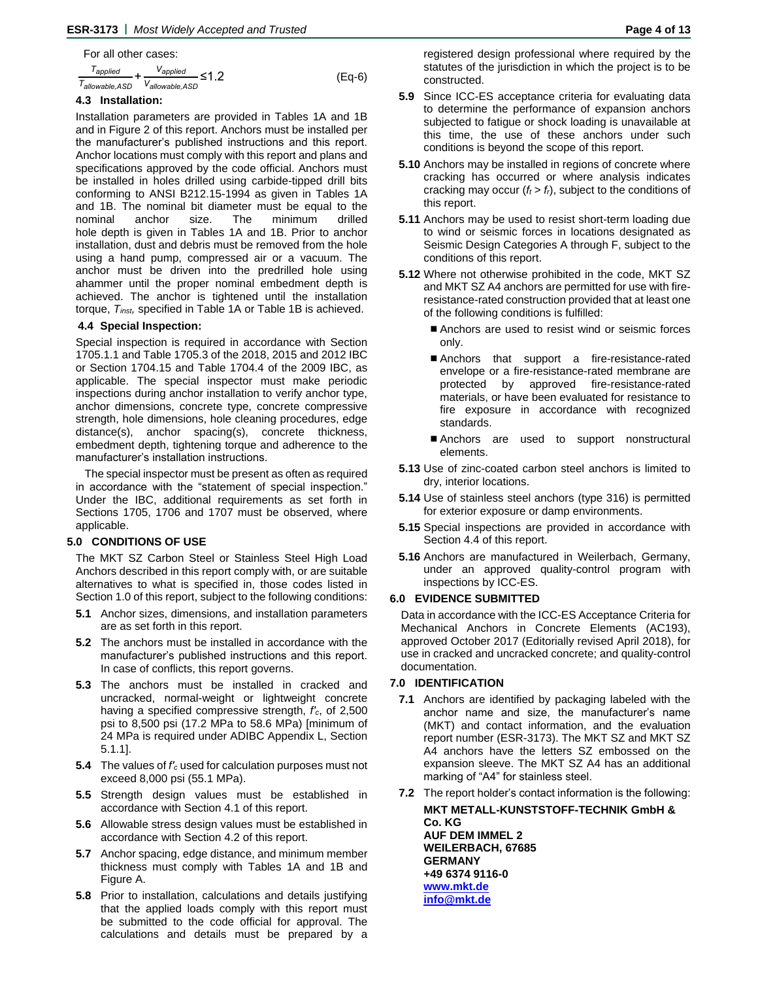For all other cases:

$$
\frac{T_{applied}}{T_{allowable,ASD}} + \frac{V_{applied}}{V_{allowable,ASD}} \le 1.2
$$
 (Eq-6)

# **4.3 Installation:**

Installation parameters are provided in Tables 1A and 1B and in Figure 2 of this report. Anchors must be installed per the manufacturer's published instructions and this report. Anchor locations must comply with this report and plans and specifications approved by the code official. Anchors must be installed in holes drilled using carbide-tipped drill bits conforming to ANSI B212.15-1994 as given in Tables 1A and 1B. The nominal bit diameter must be equal to the nominal anchor size. The minimum drilled hole depth is given in Tables 1A and 1B. Prior to anchor installation, dust and debris must be removed from the hole using a hand pump, compressed air or a vacuum. The anchor must be driven into the predrilled hole using ahammer until the proper nominal embedment depth is achieved. The anchor is tightened until the installation torque, *Tinst,* specified in Table 1A or Table 1B is achieved.

# **4.4 Special Inspection:**

Special inspection is required in accordance with Section 1705.1.1 and Table 1705.3 of the 2018, 2015 and 2012 IBC or Section 1704.15 and Table 1704.4 of the 2009 IBC, as applicable. The special inspector must make periodic inspections during anchor installation to verify anchor type, anchor dimensions, concrete type, concrete compressive strength, hole dimensions, hole cleaning procedures, edge distance(s), anchor spacing(s), concrete thickness, embedment depth, tightening torque and adherence to the manufacturer's installation instructions.

The special inspector must be present as often as required in accordance with the "statement of special inspection." Under the IBC, additional requirements as set forth in Sections 1705, 1706 and 1707 must be observed, where applicable.

# **5.0 CONDITIONS OF USE**

The MKT SZ Carbon Steel or Stainless Steel High Load Anchors described in this report comply with, or are suitable alternatives to what is specified in, those codes listed in Section 1.0 of this report, subject to the following conditions:

- **5.1** Anchor sizes, dimensions, and installation parameters are as set forth in this report.
- **5.2** The anchors must be installed in accordance with the manufacturer's published instructions and this report. In case of conflicts, this report governs.
- **5.3** The anchors must be installed in cracked and uncracked, normal-weight or lightweight concrete having a specified compressive strength, *f′c*, of 2,500 psi to 8,500 psi (17.2 MPa to 58.6 MPa) [minimum of 24 MPa is required under ADIBC Appendix L, Section 5.1.1].
- **5.4** The values of *f′<sup>c</sup>* used for calculation purposes must not exceed 8,000 psi (55.1 MPa).
- **5.5** Strength design values must be established in accordance with Section 4.1 of this report.
- **5.6** Allowable stress design values must be established in accordance with Section 4.2 of this report.
- **5.7** Anchor spacing, edge distance, and minimum member thickness must comply with Tables 1A and 1B and Figure A.
- **5.8** Prior to installation, calculations and details justifying that the applied loads comply with this report must be submitted to the code official for approval. The calculations and details must be prepared by a

registered design professional where required by the statutes of the jurisdiction in which the project is to be constructed.

- **5.9** Since ICC-ES acceptance criteria for evaluating data to determine the performance of expansion anchors subjected to fatigue or shock loading is unavailable at this time, the use of these anchors under such conditions is beyond the scope of this report.
- **5.10** Anchors may be installed in regions of concrete where cracking has occurred or where analysis indicates cracking may occur  $(f_t > f_t)$ , subject to the conditions of this report.
- **5.11** Anchors may be used to resist short-term loading due to wind or seismic forces in locations designated as Seismic Design Categories A through F, subject to the conditions of this report.
- **5.12** Where not otherwise prohibited in the code, MKT SZ and MKT SZ A4 anchors are permitted for use with fireresistance-rated construction provided that at least one of the following conditions is fulfilled:
	- Anchors are used to resist wind or seismic forces only.
	- Anchors that support a fire-resistance-rated envelope or a fire-resistance-rated membrane are protected by approved fire-resistance-rated materials, or have been evaluated for resistance to fire exposure in accordance with recognized standards.
	- Anchors are used to support nonstructural elements.
- **5.13** Use of zinc-coated carbon steel anchors is limited to dry, interior locations.
- **5.14** Use of stainless steel anchors (type 316) is permitted for exterior exposure or damp environments.
- **5.15** Special inspections are provided in accordance with Section 4.4 of this report.
- **5.16** Anchors are manufactured in Weilerbach, Germany, under an approved quality-control program with inspections by ICC-ES.

#### **6.0 EVIDENCE SUBMITTED**

Data in accordance with the ICC-ES Acceptance Criteria for Mechanical Anchors in Concrete Elements (AC193), approved October 2017 (Editorially revised April 2018), for use in cracked and uncracked concrete; and quality-control documentation.

#### **7.0 IDENTIFICATION**

- **7.1** Anchors are identified by packaging labeled with the anchor name and size, the manufacturer's name (MKT) and contact information, and the evaluation report number (ESR-3173). The MKT SZ and MKT SZ A4 anchors have the letters SZ embossed on the expansion sleeve. The MKT SZ A4 has an additional marking of "A4" for stainless steel.
- **7.2** The report holder's contact information is the following: **MKT METALL-KUNSTSTOFF-TECHNIK GmbH &**

**Co. KG AUF DEM IMMEL 2 WEILERBACH, 67685 GERMANY +49 6374 9116-0 [www.mkt.de](http://www.mkt.de/) [info@mkt.de](mailto:info@mkt.de)**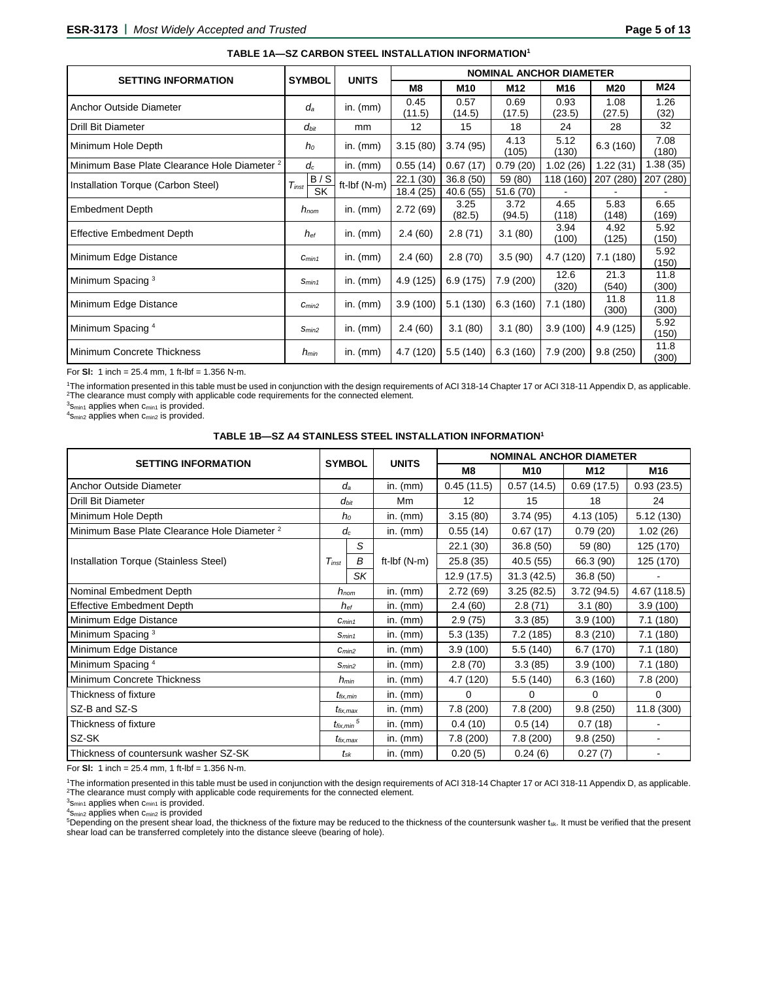(300)

|                                                         |                   |                | <b>NOMINAL ANCHOR DIAMETER</b> |                |                |                |                |               |  |
|---------------------------------------------------------|-------------------|----------------|--------------------------------|----------------|----------------|----------------|----------------|---------------|--|
| <b>SETTING INFORMATION</b>                              | <b>SYMBOL</b>     | <b>UNITS</b>   | M8                             | M10            | M12            | M16            | M20            | M24           |  |
| Anchor Outside Diameter                                 | $d_a$             | in. $(mm)$     | 0.45<br>(11.5)                 | 0.57<br>(14.5) | 0.69<br>(17.5) | 0.93<br>(23.5) | 1.08<br>(27.5) | 1.26<br>(32)  |  |
| <b>Drill Bit Diameter</b>                               | $d_{bit}$         | mm             | 12                             | 15             | 18             | 24             | 28             | 32            |  |
| Minimum Hole Depth                                      | $h_0$             | in. $(mm)$     | 3.15(80)                       | 3.74(95)       | 4.13<br>(105)  | 5.12<br>(130)  | 6.3(160)       | 7.08<br>(180) |  |
| Minimum Base Plate Clearance Hole Diameter <sup>2</sup> | $d_c$             | in. $(mm)$     | 0.55(14)                       | 0.67(17)       | 0.79(20)       | 1.02(26)       | 1.22(31)       | 1.38(35)      |  |
| Installation Torque (Carbon Steel)                      | B/S<br>$T_{inst}$ | ft-Ibf $(N-m)$ | 22.1(30)                       | 36.8 (50)      | 59 (80)        | 118 (160)      | 207 (280)      | 207 (280)     |  |
|                                                         | <b>SK</b>         |                | 18.4 (25)                      | 40.6(55)       | 51.6 (70)      |                |                |               |  |
| <b>Embedment Depth</b>                                  | $h_{nom}$         | in. $(mm)$     | 2.72(69)                       | 3.25<br>(82.5) | 3.72<br>(94.5) | 4.65<br>(118)  | 5.83<br>(148)  | 6.65<br>(169) |  |
| <b>Effective Embedment Depth</b>                        | $h_{\text{ef}}$   | in. $(mm)$     | 2.4(60)                        | 2.8(71)        | 3.1(80)        | 3.94<br>(100)  | 4.92<br>(125)  | 5.92<br>(150) |  |
| Minimum Edge Distance                                   | $C_{min1}$        | in. $(mm)$     | 2.4(60)                        | 2.8(70)        | 3.5(90)        | 4.7 (120)      | 7.1(180)       | 5.92<br>(150) |  |
| Minimum Spacing <sup>3</sup>                            | S <sub>min1</sub> | in. $(mm)$     | 4.9(125)                       | 6.9(175)       | 7.9 (200)      | 12.6<br>(320)  | 21.3<br>(540)  | 11.8<br>(300) |  |
| Minimum Edge Distance                                   | C <sub>min2</sub> | in. $(mm)$     | 3.9(100)                       | 5.1(130)       | 6.3(160)       | 7.1(180)       | 11.8<br>(300)  | 11.8<br>(300) |  |
| Minimum Spacing 4                                       | Smin <sub>2</sub> | in. $(mm)$     | 2.4(60)                        | 3.1(80)        | 3.1(80)        | 3.9(100)       | 4.9 (125)      | 5.92<br>(150) |  |
| Minimum Concrete Thickness                              | $h_{min}$         | in. $(mm)$     | 4.7 (120)                      | 5.5(140)       | 6.3(160)       | 7.9(200)       | 9.8(250)       | 11.8<br>(200) |  |

#### **TABLE 1A—SZ CARBON STEEL INSTALLATION INFORMATION<sup>1</sup>**

For **Sl:** 1 inch = 25.4 mm, 1 ft-lbf = 1.356 N-m.

<sup>1</sup>The information presented in this table must be used in conjunction with the design requirements of ACI 318-14 Chapter 17 or ACI 318-11 Appendix D, as applicable. <sup>2</sup>The clearance must comply with applicable code requirements for the connected element.

 $3$ s<sub>min1</sub> applies when c<sub>min1</sub> is provided.

<sup>4</sup>S<sub>min2</sub> applies when c<sub>min2</sub> is provided.

# **TABLE 1B—SZ A4 STAINLESS STEEL INSTALLATION INFORMATION<sup>1</sup>**

|                                                         |                             |                   |                |            | <b>NOMINAL ANCHOR DIAMETER</b> |            |              |  |  |
|---------------------------------------------------------|-----------------------------|-------------------|----------------|------------|--------------------------------|------------|--------------|--|--|
| <b>SETTING INFORMATION</b>                              |                             | <b>SYMBOL</b>     | <b>UNITS</b>   | M8         | M <sub>10</sub>                | M12        | M16          |  |  |
| Anchor Outside Diameter                                 |                             | $d_a$             | in. $(mm)$     | 0.45(11.5) | 0.57(14.5)                     | 0.69(17.5) | 0.93(23.5)   |  |  |
| <b>Drill Bit Diameter</b>                               |                             | $d_{bit}$         | Mm             | 12         | 15                             | 18         | 24           |  |  |
| Minimum Hole Depth                                      |                             | $h_0$             | in. $(mm)$     | 3.15(80)   | 3.74(95)                       | 4.13(105)  | 5.12(130)    |  |  |
| Minimum Base Plate Clearance Hole Diameter <sup>2</sup> |                             | $d_c$             | in. $(mm)$     | 0.55(14)   | 0.67(17)                       | 0.79(20)   | 1.02(26)     |  |  |
|                                                         |                             | S                 |                | 22.1 (30)  | 36.8(50)                       | 59 (80)    | 125 (170)    |  |  |
| Installation Torque (Stainless Steel)                   | $T_{inst}$                  | B                 | ft-Ibf $(N-m)$ | 25.8(35)   | 40.5(55)                       | 66.3 (90)  | 125 (170)    |  |  |
|                                                         |                             | SK                |                | 12.9(17.5) | 31.3(42.5)                     | 36.8(50)   |              |  |  |
| Nominal Embedment Depth                                 |                             | $h_{nom}$         | in. $(mm)$     | 2.72(69)   | 3.25(82.5)                     | 3.72(94.5) | 4.67 (118.5) |  |  |
| <b>Effective Embedment Depth</b>                        |                             | $h_{\mathrm{e}f}$ | in. $(mm)$     | 2.4(60)    | 2.8(71)                        | 3.1(80)    | 3.9(100)     |  |  |
| Minimum Edge Distance                                   |                             | $C_{min1}$        | in. $(mm)$     | 2.9(75)    | 3.3(85)                        | 3.9(100)   | 7.1(180)     |  |  |
| Minimum Spacing <sup>3</sup>                            |                             | S <sub>min1</sub> | in. $(mm)$     | 5.3(135)   | 7.2(185)                       | 8.3(210)   | 7.1 (180)    |  |  |
| Minimum Edge Distance                                   |                             | C <sub>min2</sub> | in. $(mm)$     | 3.9(100)   | 5.5(140)                       | 6.7(170)   | 7.1(180)     |  |  |
| Minimum Spacing 4                                       |                             | S <sub>min2</sub> | in. $(mm)$     | 2.8(70)    | 3.3(85)                        | 3.9(100)   | 7.1(180)     |  |  |
| Minimum Concrete Thickness                              |                             | $h_{min}$         | in. $(mm)$     | 4.7 (120)  | 5.5(140)                       | 6.3(160)   | 7.8 (200)    |  |  |
| Thickness of fixture                                    |                             | $t_{fix,min}$     | in. $(mm)$     | 0          | 0                              | 0          | 0            |  |  |
| SZ-B and SZ-S                                           |                             | $t_{fix,max}$     | in. $(mm)$     | 7.8(200)   | 7.8 (200)                      | 9.8(250)   | 11.8(300)    |  |  |
| Thickness of fixture                                    | $t_{\textit{fix,min}}$ $^5$ |                   | in. $(mm)$     | 0.4(10)    | 0.5(14)                        | 0.7(18)    |              |  |  |
| SZ-SK                                                   |                             | $t_{fix,max}$     | in. $(mm)$     | 7.8 (200)  | 7.8(200)                       | 9.8(250)   |              |  |  |
| Thickness of countersunk washer SZ-SK                   |                             | $t_{\rm sk}$      | in. $(mm)$     | 0.20(5)    | 0.24(6)                        | 0.27(7)    |              |  |  |

For **Sl:** 1 inch = 25.4 mm, 1 ft-lbf = 1.356 N-m.

<sup>1</sup>The information presented in this table must be used in conjunction with the design requirements of ACI 318-14 Chapter 17 or ACI 318-11 Appendix D, as applicable. <sup>2</sup>The clearance must comply with applicable code requirements for the connected element.

 $3$ Smin1 applies when  $c_{\text{min1}}$  is provided.

 $4s_{\text{min2}}$  applies when  $c_{\text{min2}}$  is provided

<sup>5</sup>Depending on the present shear load, the thickness of the fixture may be reduced to the thickness of the countersunk washer tsk. It must be verified that the present shear load can be transferred completely into the distance sleeve (bearing of hole).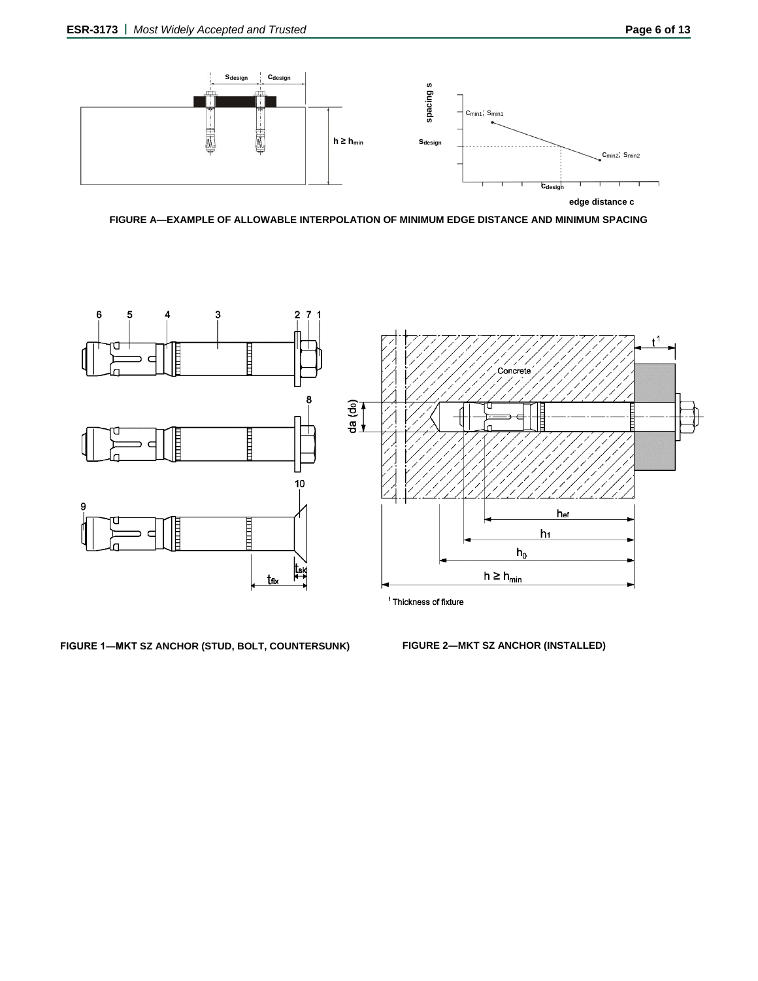

**FIGURE A—EXAMPLE OF ALLOWABLE INTERPOLATION OF MINIMUM EDGE DISTANCE AND MINIMUM SPACING**



**FIGURE 1―MKT SZ ANCHOR (STUD, BOLT, COUNTERSUNK) FIGURE 2―MKT SZ ANCHOR (INSTALLED)**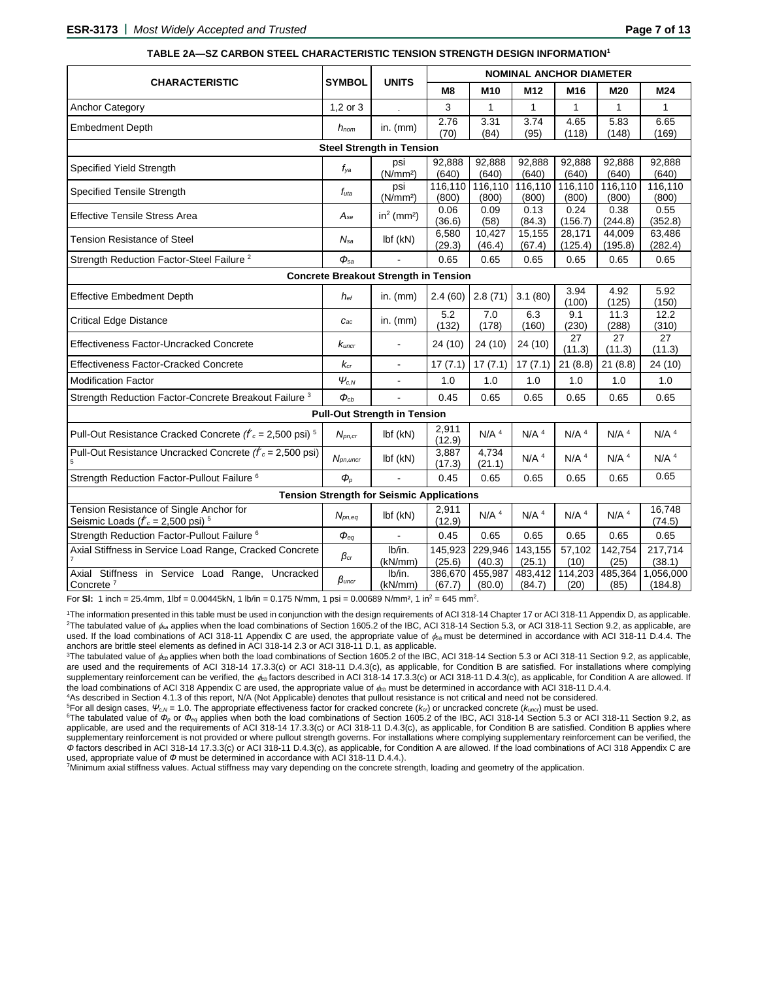|                                                                                            |                          |                                              | <b>NOMINAL ANCHOR DIAMETER</b> |                    |                    |                    |                    |                      |  |
|--------------------------------------------------------------------------------------------|--------------------------|----------------------------------------------|--------------------------------|--------------------|--------------------|--------------------|--------------------|----------------------|--|
| <b>CHARACTERISTIC</b>                                                                      | <b>SYMBOL</b>            | <b>UNITS</b>                                 | M8                             | M10                | M <sub>12</sub>    | M16                | M20                | M24                  |  |
| <b>Anchor Category</b>                                                                     | $1,2$ or $3$             |                                              | 3                              | $\mathbf{1}$       | 1                  | $\mathbf{1}$       | 1                  | 1                    |  |
| <b>Embedment Depth</b>                                                                     | $h_{nom}$                | in. $(mm)$                                   | 2.76<br>(70)                   | 3.31<br>(84)       | 3.74<br>(95)       | 4.65<br>(118)      | 5.83<br>(148)      | 6.65<br>(169)        |  |
|                                                                                            |                          | <b>Steel Strength in Tension</b>             |                                |                    |                    |                    |                    |                      |  |
| Specified Yield Strength                                                                   | f <sub>ya</sub>          | psi<br>(N/mm <sup>2</sup> )                  | 92,888<br>(640)                | 92,888<br>(640)    | 92,888<br>(640)    | 92,888<br>(640)    | 92,888<br>(640)    | 92,888<br>(640)      |  |
| <b>Specified Tensile Strength</b>                                                          | $f_{uta}$                | psi<br>(N/mm <sup>2</sup> )                  | 116,110<br>(800)               | 116,110<br>(800)   | 116,110<br>(800)   | 116,110<br>(800)   | 116,110<br>(800)   | 116,110<br>(800)     |  |
| <b>Effective Tensile Stress Area</b>                                                       | $A_{se}$                 | $in2$ (mm <sup>2</sup> )                     | 0.06<br>(36.6)                 | 0.09<br>(58)       | 0.13<br>(84.3)     | 0.24<br>(156.7)    | 0.38<br>(244.8)    | 0.55<br>(352.8)      |  |
| Tension Resistance of Steel                                                                | $N_{sa}$                 | $Ibf$ (kN)                                   | 6,580<br>(29.3)                | 10,427<br>(46.4)   | 15,155<br>(67.4)   | 28,171<br>(125.4)  | 44,009<br>(195.8)  | 63,486<br>(282.4)    |  |
| Strength Reduction Factor-Steel Failure <sup>2</sup>                                       | $\Phi_{sa}$              |                                              | 0.65                           | 0.65               | 0.65               | 0.65               | 0.65               | 0.65                 |  |
|                                                                                            |                          | <b>Concrete Breakout Strength in Tension</b> |                                |                    |                    |                    |                    |                      |  |
| <b>Effective Embedment Depth</b>                                                           | $h_{ef}$                 | in. $(mm)$                                   | 2.4(60)                        | 2.8(71)            | 3.1(80)            | 3.94<br>(100)      | 4.92<br>(125)      | 5.92<br>(150)        |  |
| <b>Critical Edge Distance</b>                                                              | $C_{ac}$                 | in. $(mm)$                                   | 5.2<br>(132)                   | 7.0<br>(178)       | 6.3<br>(160)       | 9.1<br>(230)       | 11.3<br>(288)      | 12.2<br>(310)        |  |
| Effectiveness Factor-Uncracked Concrete                                                    | $\kappa_{\textit{uncr}}$ |                                              | 24 (10)                        | 24 (10)            | 24 (10)            | 27<br>(11.3)       | 27<br>(11.3)       | 27<br>(11.3)         |  |
| <b>Effectiveness Factor-Cracked Concrete</b>                                               | $k_{cr}$                 | $\overline{a}$                               | 17(7.1)                        | 17(7.1)            | 17(7.1)            | 21(8.8)            | 21(8.8)            | 24 (10)              |  |
| <b>Modification Factor</b>                                                                 | $\psi_{c,N}$             |                                              | 1.0                            | 1.0                | 1.0                | 1.0                | 1.0                | 1.0                  |  |
| Strength Reduction Factor-Concrete Breakout Failure <sup>3</sup>                           | $\Phi_{cb}$              |                                              | 0.45                           | 0.65               | 0.65               | 0.65               | 0.65               | 0.65                 |  |
|                                                                                            |                          | <b>Pull-Out Strength in Tension</b>          |                                |                    |                    |                    |                    |                      |  |
| Pull-Out Resistance Cracked Concrete $(f'_c = 2,500 \text{ psi})^{-5}$                     | $N_{pn,cr}$              | $Ibf$ (kN)                                   | 2,911<br>(12.9)                | $N/A$ <sup>4</sup> | $N/A$ <sup>4</sup> | $N/A$ <sup>4</sup> | $N/A$ <sup>4</sup> | $N/A$ <sup>4</sup>   |  |
| Pull-Out Resistance Uncracked Concrete $(fc = 2,500 \text{ psi})$                          | $N_{pn, uncr}$           | $Ibf$ (kN)                                   | 3,887<br>(17.3)                | 4,734<br>(21.1)    | $N/A$ <sup>4</sup> | $N/A$ <sup>4</sup> | $N/A$ <sup>4</sup> | $N/A$ <sup>4</sup>   |  |
| Strength Reduction Factor-Pullout Failure <sup>6</sup>                                     | $\boldsymbol{\phi}_p$    |                                              | 0.45                           | 0.65               | 0.65               | 0.65               | 0.65               | 0.65                 |  |
| <b>Tension Strength for Seismic Applications</b>                                           |                          |                                              |                                |                    |                    |                    |                    |                      |  |
| Tension Resistance of Single Anchor for<br>Seismic Loads ( $f_c$ = 2,500 psi) <sup>5</sup> | $N_{pn,eq}$              | $Ibf$ ( $kN$ )                               | 2,911<br>(12.9)                | $N/A$ <sup>4</sup> | N/A <sup>4</sup>   | N/A <sup>4</sup>   | $N/A$ <sup>4</sup> | 16,748<br>(74.5)     |  |
| Strength Reduction Factor-Pullout Failure <sup>6</sup>                                     | $\boldsymbol{\phi}_{eq}$ |                                              | 0.45                           | 0.65               | 0.65               | 0.65               | 0.65               | 0.65                 |  |
| Axial Stiffness in Service Load Range, Cracked Concrete                                    | $\beta_{\textit{cr}}$    | lb/in.<br>(kN/mm)                            | 145,923<br>(25.6)              | 229,946<br>(40.3)  | 143,155<br>(25.1)  | 57,102<br>(10)     | 142,754<br>(25)    | 217,714<br>(38.1)    |  |
| Axial Stiffness in Service Load Range, Uncracked<br>Concrete $7$                           | $\beta$ uncr             | lb/in.<br>(kN/mm)                            | 386,670<br>(67.7)              | 455,987<br>(80.0)  | 483,412<br>(84.7)  | 114,203<br>(20)    | 485,364<br>(85)    | 1,056,000<br>(184.8) |  |

#### **TABLE 2A—SZ CARBON STEEL CHARACTERISTIC TENSION STRENGTH DESIGN INFORMATION<sup>1</sup>**

For SI: 1 inch = 25.4mm, 1lbf =  $0.00445$ kN, 1 lb/in =  $0.175$  N/mm, 1 psi =  $0.00689$  N/mm<sup>2</sup>, 1 in<sup>2</sup> = 645 mm<sup>2</sup>.

<sup>1</sup>The information presented in this table must be used in conjunction with the design requirements of ACI 318-14 Chapter 17 or ACI 318-11 Appendix D, as applicable. <sup>2</sup>The tabulated value of  $\phi_{\text{sa}}$  applies when the load combinations of Section 1605.2 of the IBC, ACI 318-14 Section 5.3, or ACI 318-11 Section 9.2, as applicable, are used. If the load combinations of ACI 318-11 Appendix C are used, the appropriate value of  $\phi_{\text{sa}}$  must be determined in accordance with ACI 318-11 D.4.4. The anchors are brittle steel elements as defined in ACI 318-14 2.3 or ACI 318-11 D.1, as applicable.

<sup>3</sup>The tabulated value of  $\phi_{cb}$  applies when both the load combinations of Section 1605.2 of the IBC, ACI 318-14 Section 5.3 or ACI 318-11 Section 9.2, as applicable, are used and the requirements of ACI 318-14 17.3.3(c) or ACI 318-11 D.4.3(c), as applicable, for Condition B are satisfied. For installations where complying supplementary reinforcement can be verified, the  $\phi_{cb}$  factors described in ACI 318-14 17.3.3(c) or ACI 318-11 D.4.3(c), as applicable, for Condition A are allowed. If the load combinations of ACI 318 Appendix C are used, the appropriate value of  $\phi_{cb}$  must be determined in accordance with ACI 318-11 D.4.4.

<sup>4</sup>As described in Section 4.1.3 of this report, N/A (Not Applicable) denotes that pullout resistance is not critical and need not be considered.

<sup>5</sup>For all design cases, *Ψc,N* = 1.0. The appropriate effectiveness factor for cracked concrete (*kcr*) or uncracked concrete (*kuncr*) must be used.

<sup>6</sup>The tabulated value of *Ф<sup>p</sup>* or *Фeq* applies when both the load combinations of Section 1605.2 of the IBC, ACI 318-14 Section 5.3 or ACI 318-11 Section 9.2, as applicable, are used and the requirements of ACI 318-14 17.3.3(c) or ACI 318-11 D.4.3(c), as applicable, for Condition B are satisfied. Condition B applies where supplementary reinforcement is not provided or where pullout strength governs. For installations where complying supplementary reinforcement can be verified, the *Ф* factors described in ACI 318-14 17.3.3(c) or ACI 318-11 D.4.3(c), as applicable, for Condition A are allowed. If the load combinations of ACI 318 Appendix C are used, appropriate value of  $\Phi$  must be determined in accordance with ACI 318-11 D.4.4.).

7Minimum axial stiffness values. Actual stiffness may vary depending on the concrete strength, loading and geometry of the application.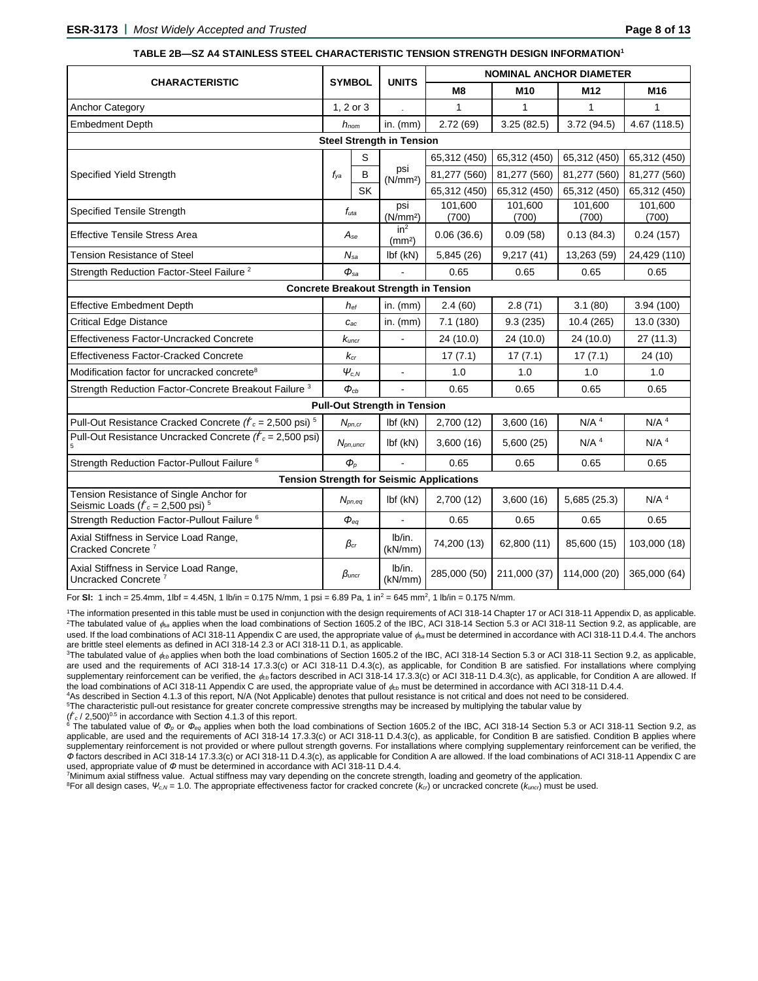|                                                                                            | <b>SYMBOL</b><br><b>UNITS</b> |           | <b>NOMINAL ANCHOR DIAMETER</b>        |                  |                   |                    |                    |             |              |
|--------------------------------------------------------------------------------------------|-------------------------------|-----------|---------------------------------------|------------------|-------------------|--------------------|--------------------|-------------|--------------|
| <b>CHARACTERISTIC</b>                                                                      |                               |           |                                       | M <sub>8</sub>   | M10               | M <sub>12</sub>    | M16                |             |              |
| <b>Anchor Category</b>                                                                     | 1, 2 or 3                     |           | $\overline{\phantom{a}}$              | 1                | $\mathbf{1}$      | 1                  | 1                  |             |              |
| <b>Embedment Depth</b>                                                                     | $h_{nom}$                     |           | in. $(mm)$                            | 2.72(69)         | 3.25(82.5)        | 3.72(94.5)         | 4.67 (118.5)       |             |              |
|                                                                                            |                               |           | <b>Steel Strength in Tension</b>      |                  |                   |                    |                    |             |              |
|                                                                                            |                               | S         |                                       | 65,312 (450)     | 65,312 (450)      | 65,312 (450)       | 65,312 (450)       |             |              |
| Specified Yield Strength                                                                   | $f_{\rm{ya}}$                 | B         | psi<br>(N/mm <sup>2</sup> )           | 81,277 (560)     | 81,277 (560)      | 81,277 (560)       | 81,277 (560)       |             |              |
|                                                                                            |                               | <b>SK</b> |                                       | 65,312 (450)     | 65,312 (450)      | 65,312 (450)       | 65,312 (450)       |             |              |
| <b>Specified Tensile Strength</b>                                                          | $f_{uta}$                     |           | psi<br>(N/mm <sup>2</sup> )           | 101,600<br>(700) | 101,600<br>(700)  | 101,600<br>(700)   | 101,600<br>(700)   |             |              |
| <b>Effective Tensile Stress Area</b>                                                       | $A_{se}$                      |           | in <sup>2</sup><br>(mm <sup>2</sup> ) | 0.06(36.6)       | 0.09(58)          | 0.13(84.3)         | 0.24(157)          |             |              |
| Tension Resistance of Steel                                                                | $N_{sa}$                      |           | $Ibf$ (kN)                            | 5,845 (26)       | 9,217(41)         | 13,263 (59)        | 24,429 (110)       |             |              |
| Strength Reduction Factor-Steel Failure <sup>2</sup>                                       | $\Phi_{sa}$                   |           |                                       | 0.65             | 0.65              | 0.65               | 0.65               |             |              |
| <b>Concrete Breakout Strength in Tension</b>                                               |                               |           |                                       |                  |                   |                    |                    |             |              |
| <b>Effective Embedment Depth</b>                                                           | $h_{ef}$                      |           | in. $(mm)$                            | 2.4(60)          | 2.8(71)           | 3.1(80)            | 3.94(100)          |             |              |
| <b>Critical Edge Distance</b>                                                              | $C_{ac}$                      |           | in. $(mm)$                            | 7.1(180)         | 9.3(235)          | 10.4 (265)         | 13.0 (330)         |             |              |
| Effectiveness Factor-Uncracked Concrete                                                    | $k_{\mathit{uncr}}$           |           |                                       | 24 (10.0)        | 24 (10.0)         | 24 (10.0)          | 27 (11.3)          |             |              |
| <b>Effectiveness Factor-Cracked Concrete</b>                                               | $K_{cr}$                      |           |                                       | 17(7.1)          | 17(7.1)           | 17(7.1)            | 24 (10)            |             |              |
| Modification factor for uncracked concrete <sup>8</sup>                                    | $\pmb{\psi}_{c,N}$            |           |                                       |                  |                   | 1.0                | 1.0                | 1.0         | 1.0          |
| Strength Reduction Factor-Concrete Breakout Failure <sup>3</sup>                           | $\Phi_{cb}$                   |           |                                       | 0.65             | 0.65              | 0.65               | 0.65               |             |              |
|                                                                                            |                               |           | <b>Pull-Out Strength in Tension</b>   |                  |                   |                    |                    |             |              |
| Pull-Out Resistance Cracked Concrete $(f'_c = 2,500 \text{ psi})^5$                        | $N_{pn,cr}$                   |           | $Ibf$ ( $kN$ )                        | 2,700 (12)       | 3,600(16)         | N/A <sup>4</sup>   | $N/A$ <sup>4</sup> |             |              |
| Pull-Out Resistance Uncracked Concrete $(f_c = 2,500 \text{ psi})$                         | $N_{pn,uncr}$                 |           | $Ibf$ (kN)                            | 3,600(16)        | 5,600(25)         | $N/A$ <sup>4</sup> | $N/A$ <sup>4</sup> |             |              |
| Strength Reduction Factor-Pullout Failure <sup>6</sup>                                     | $\boldsymbol{\phi}_p$         |           |                                       | 0.65             | 0.65              | 0.65               | 0.65               |             |              |
| <b>Tension Strength for Seismic Applications</b>                                           |                               |           |                                       |                  |                   |                    |                    |             |              |
| Tension Resistance of Single Anchor for<br>Seismic Loads ( $f_c$ = 2,500 psi) <sup>5</sup> | $N_{pn,eq}$                   |           | $Ibf$ (kN)                            | 2,700(12)        | 3,600(16)         | 5,685 (25.3)       | $N/A$ <sup>4</sup> |             |              |
| Strength Reduction Factor-Pullout Failure <sup>6</sup>                                     | $\boldsymbol{\phi}_{eq}$      |           |                                       | 0.65             | 0.65              | 0.65               | 0.65               |             |              |
| Axial Stiffness in Service Load Range,<br>Cracked Concrete <sup>7</sup>                    | $\beta$ cr                    |           |                                       |                  | Ib/in.<br>(kN/mm) | 74,200 (13)        | 62,800 (11)        | 85,600 (15) | 103,000 (18) |
| Axial Stiffness in Service Load Range,<br>Uncracked Concrete <sup>7</sup>                  | $\beta$ uncr                  |           | Ib/in.<br>(kN/mm)                     | 285,000 (50)     | 211,000 (37)      | 114,000 (20)       | 365,000 (64)       |             |              |

#### **TABLE 2B—SZ A4 STAINLESS STEEL CHARACTERISTIC TENSION STRENGTH DESIGN INFORMATION<sup>1</sup>**

For SI: 1 inch = 25.4mm, 1lbf = 4.45N, 1 lb/in = 0.175 N/mm, 1 psi = 6.89 Pa, 1 in<sup>2</sup> = 645 mm<sup>2</sup>, 1 lb/in = 0.175 N/mm.

<sup>1</sup>The information presented in this table must be used in conjunction with the design requirements of ACI 318-14 Chapter 17 or ACI 318-11 Appendix D, as applicable. <sup>2</sup>The tabulated value of  $\phi_{\text{sa}}$  applies when the load combinations of Section 1605.2 of the IBC, ACI 318-14 Section 5.3 or ACI 318-11 Section 9.2, as applicable, are used. If the load combinations of ACI 318-11 Appendix C are used, the appropriate value of  $\phi_{\text{sa}}$  must be determined in accordance with ACI 318-11 D.4.4. The anchors are brittle steel elements as defined in ACI 318-14 2.3 or ACI 318-11 D.1, as applicable.

<sup>3</sup>The tabulated value of  $\phi_{cb}$  applies when both the load combinations of Section 1605.2 of the IBC, ACI 318-14 Section 5.3 or ACI 318-11 Section 9.2, as applicable, are used and the requirements of ACI 318-14 17.3.3(c) or ACI 318-11 D.4.3(c), as applicable, for Condition B are satisfied. For installations where complying supplementary reinforcement can be verified, the  $\phi_{\text{cb}}$  factors described in ACI 318-14 17.3.3(c) or ACI 318-11 D.4.3(c), as applicable, for Condition A are allowed. If the load combinations of ACI 318-11 Appendix C are used, the appropriate value of  $\phi_{cb}$  must be determined in accordance with ACI 318-11 D.4.4.

<sup>4</sup>As described in Section 4.1.3 of this report, N/A (Not Applicable) denotes that pullout resistance is not critical and does not need to be considered.

<sup>5</sup>The characteristic pull-out resistance for greater concrete compressive strengths may be increased by multiplying the tabular value by

 $(f'_c/2,500)^{0.5}$  in accordance with Section 4.1.3 of this report.

<sup>6</sup> The tabulated value of *Ф<sup>p</sup>* or *Фeq* applies when both the load combinations of Section 1605.2 of the IBC, ACI 318-14 Section 5.3 or ACI 318-11 Section 9.2, as applicable, are used and the requirements of ACI 318-14 17.3.3(c) or ACI 318-11 D.4.3(c), as applicable, for Condition B are satisfied. Condition B applies where supplementary reinforcement is not provided or where pullout strength governs. For installations where complying supplementary reinforcement can be verified, the *Ф* factors described in ACI 318-14 17.3.3(c) or ACI 318-11 D.4.3(c), as applicable for Condition A are allowed. If the load combinations of ACI 318-11 Appendix C are used, appropriate value of  $\Phi$  must be determined in accordance with ACI 318-11 D.4.4.

<sup>7</sup>Minimum axial stiffness value. Actual stiffness may vary depending on the concrete strength, loading and geometry of the application.

<sup>8</sup>For all design cases, *Ψc,N* = 1.0. The appropriate effectiveness factor for cracked concrete (*kcr*) or uncracked concrete (*kuncr*) must be used.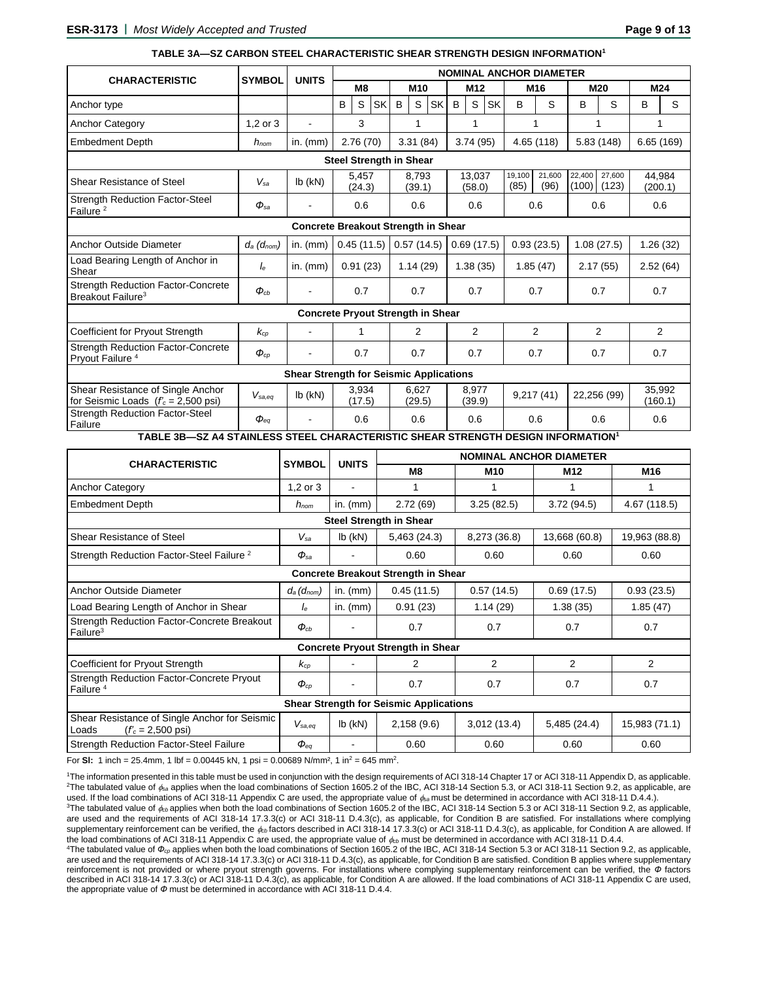#### **TABLE 3A—SZ CARBON STEEL CHARACTERISTIC SHEAR STRENGTH DESIGN INFORMATION<sup>1</sup>**

|                                                                                    |                                |                                          | <b>NOMINAL ANCHOR DIAMETER</b> |                 |            |                 |                 |                 |          |                 |                  |                |                |          |              |                           |          |                   |
|------------------------------------------------------------------------------------|--------------------------------|------------------------------------------|--------------------------------|-----------------|------------|-----------------|-----------------|-----------------|----------|-----------------|------------------|----------------|----------------|----------|--------------|---------------------------|----------|-------------------|
| <b>CHARACTERISTIC</b>                                                              | <b>SYMBOL</b>                  | <b>UNITS</b>                             |                                | M <sub>8</sub>  |            | M <sub>10</sub> |                 | M <sub>12</sub> |          | M <sub>16</sub> |                  |                | M20            |          | M24          |                           |          |                   |
| Anchor type                                                                        |                                |                                          | B                              | S               | <b>SK</b>  | B               | S               | <b>SK</b>       | B        |                 | <b>SK</b><br>S   | B              |                | S        | B            | S                         | B        | S                 |
| <b>Anchor Category</b>                                                             | $1.2$ or $3$                   | $\blacksquare$                           |                                | 3               |            |                 | 1               |                 |          |                 | 1                |                | 1              |          | 1            |                           | 1        |                   |
| <b>Embedment Depth</b>                                                             | $h_{nom}$                      | in. $(mm)$                               |                                | 2.76(70)        |            |                 | 3.31(84)        |                 | 3.74(95) |                 |                  |                | 4.65(118)      |          | 5.83(148)    |                           |          | 6.65(169)         |
|                                                                                    | <b>Steel Strength in Shear</b> |                                          |                                |                 |            |                 |                 |                 |          |                 |                  |                |                |          |              |                           |          |                   |
| Shear Resistance of Steel                                                          | $V_{sa}$                       | $lb$ ( $kN$ )                            |                                | 5.457<br>(24.3) |            |                 | 8.793<br>(39.1) |                 |          |                 | 13.037<br>(58.0) | 19,100<br>(85) | 21.600<br>(96) |          | 22.400       | 27.600<br>$(100)$ $(123)$ |          | 44.984<br>(200.1) |
| <b>Strength Reduction Factor-Steel</b><br>Failure <sup>2</sup>                     | $\Phi_{sa}$                    |                                          | 0.6                            |                 | 0.6<br>0.6 |                 |                 | 0.6             |          |                 | 0.6              |                |                | 0.6      |              |                           |          |                   |
| <b>Concrete Breakout Strength in Shear</b>                                         |                                |                                          |                                |                 |            |                 |                 |                 |          |                 |                  |                |                |          |              |                           |          |                   |
| Anchor Outside Diameter                                                            | $d_a$ ( $d_{nom}$ )            | in. $(mm)$                               |                                | 0.45(11.5)      |            |                 | 0.57(14.5)      |                 |          |                 | 0.69(17.5)       |                | 0.93(23.5)     |          |              | 1.08(27.5)                |          | 1.26(32)          |
| Load Bearing Length of Anchor in<br>Shear                                          | $I_{\rm e}$                    | in. $(mm)$                               |                                | 0.91(23)        |            |                 | 1.14(29)        |                 | 1.38(35) |                 | 1.85(47)         |                |                | 2.17(55) |              |                           | 2.52(64) |                   |
| <b>Strength Reduction Factor-Concrete</b><br>Breakout Failure <sup>3</sup>         | $\Phi_{cb}$                    |                                          |                                | 0.7             |            |                 | 0.7<br>0.7      |                 | 0.7      |                 | 0.7              |                |                | 0.7      |              |                           |          |                   |
|                                                                                    |                                | <b>Concrete Pryout Strength in Shear</b> |                                |                 |            |                 |                 |                 |          |                 |                  |                |                |          |              |                           |          |                   |
| Coefficient for Pryout Strength                                                    | $k_{cp}$                       |                                          |                                | 1               |            |                 | 2               |                 |          |                 | $\overline{2}$   |                | 2              |          |              | $\overline{2}$            |          | $\overline{2}$    |
| <b>Strength Reduction Factor-Concrete</b><br>Pryout Failure <sup>4</sup>           | $\boldsymbol{\phi}_{cp}$       |                                          | 0.7                            |                 |            | 0.7             |                 |                 |          | 0.7             |                  | 0.7            |                |          | 0.7          |                           | 0.7      |                   |
| <b>Shear Strength for Seismic Applications</b>                                     |                                |                                          |                                |                 |            |                 |                 |                 |          |                 |                  |                |                |          |              |                           |          |                   |
| Shear Resistance of Single Anchor<br>for Seismic Loads $(r_c = 2,500 \text{ psi})$ | $V_{sa,eq}$                    | $lb$ ( $kN$ )                            |                                | 3,934<br>(17.5) |            |                 | 6.627<br>(29.5) |                 |          |                 | 8.977<br>(39.9)  |                | 9,217(41)      |          |              | 22,256 (99)               |          | 35.992<br>(160.1) |
| <b>Strength Reduction Factor-Steel</b><br>Failure<br>------- -- ---                | $\boldsymbol{\phi}_{eq}$       |                                          |                                | 0.6             | --------   |                 | 0.6             |                 | 0.6      |                 |                  | 0.6            |                |          | 0.6<br>$-11$ |                           | 0.6      |                   |

**TABLE 3B—SZ A4 STAINLESS STEEL CHARACTERISTIC SHEAR STRENGTH DESIGN INFORMATION<sup>1</sup>**

| <b>CHARACTERISTIC</b>                                                                | <b>SYMBOL</b>            | <b>UNITS</b>  | <b>NOMINAL ANCHOR DIAMETER</b>           |              |                 |                |  |  |  |
|--------------------------------------------------------------------------------------|--------------------------|---------------|------------------------------------------|--------------|-----------------|----------------|--|--|--|
|                                                                                      |                          |               | M <sub>8</sub>                           | M10          | M <sub>12</sub> | M16            |  |  |  |
| <b>Anchor Category</b>                                                               | $1,2$ or $3$             | ۰             |                                          |              |                 | 1              |  |  |  |
| <b>Embedment Depth</b>                                                               | $h_{nom}$                | in. $(mm)$    | 2.72(69)                                 | 3.25(82.5)   | 3.72(94.5)      | 4.67 (118.5)   |  |  |  |
| <b>Steel Strength in Shear</b>                                                       |                          |               |                                          |              |                 |                |  |  |  |
| Shear Resistance of Steel                                                            | $V_{\mathrm{sa}}$        | $lb$ ( $kN$ ) | 5,463 (24.3)                             | 8,273 (36.8) | 13,668 (60.8)   | 19,963 (88.8)  |  |  |  |
| Strength Reduction Factor-Steel Failure <sup>2</sup>                                 | $\Phi_{sa}$              |               | 0.60                                     | 0.60         | 0.60            | 0.60           |  |  |  |
| <b>Concrete Breakout Strength in Shear</b>                                           |                          |               |                                          |              |                 |                |  |  |  |
| Anchor Outside Diameter                                                              | $d_a$ ( $d_{nom}$ )      | in. $(mm)$    | 0.45(11.5)                               | 0.57(14.5)   | 0.69(17.5)      | 0.93(23.5)     |  |  |  |
| Load Bearing Length of Anchor in Shear                                               | Ιe                       | in. $(mm)$    | 0.91(23)                                 | 1.14(29)     | 1.38(35)        | 1.85(47)       |  |  |  |
| <b>Strength Reduction Factor-Concrete Breakout</b><br>Failure <sup>3</sup>           | $\boldsymbol{\phi}_{cb}$ |               | 0.7                                      | 0.7          | 0.7             | 0.7            |  |  |  |
|                                                                                      |                          |               | <b>Concrete Pryout Strength in Shear</b> |              |                 |                |  |  |  |
| Coefficient for Pryout Strength                                                      | $k_{cp}$                 |               | $\mathcal{P}$                            | 2            | $\mathfrak{p}$  | $\overline{2}$ |  |  |  |
| Strength Reduction Factor-Concrete Pryout<br>Failure <sup>4</sup>                    | $\boldsymbol{\phi}_{cp}$ |               | 0.7                                      | 0.7          | 0.7             | 0.7            |  |  |  |
| <b>Shear Strength for Seismic Applications</b>                                       |                          |               |                                          |              |                 |                |  |  |  |
| Shear Resistance of Single Anchor for Seismic<br>$(fc = 2,500 \text{ psi})$<br>Loads | $V_{sa,eq}$              | $lb$ (kN)     | 2,158(9.6)                               | 3,012(13.4)  | 5,485 (24.4)    | 15,983 (71.1)  |  |  |  |
| <b>Strength Reduction Factor-Steel Failure</b>                                       | $\boldsymbol{\phi}_{eq}$ |               | 0.60                                     | 0.60         | 0.60            | 0.60           |  |  |  |

For SI: 1 inch = 25.4mm, 1 lbf = 0.00445 kN, 1 psi = 0.00689 N/mm<sup>2</sup>, 1 in<sup>2</sup> = 645 mm<sup>2</sup>.

<sup>1</sup>The information presented in this table must be used in conjunction with the design requirements of ACI 318-14 Chapter 17 or ACI 318-11 Appendix D, as applicable. <sup>2</sup>The tabulated value of  $\phi_{\text{sa}}$  applies when the load combinations of Section 1605.2 of the IBC, ACI 318-14 Section 5.3, or ACI 318-11 Section 9.2, as applicable, are used. If the load combinations of ACI 318-11 Appendix C are used, the appropriate value of *sa* must be determined in accordance with ACI 318-11 D.4.4.).

<sup>3</sup>The tabulated value of  $\phi_{\rm{th}}$  applies when both the load combinations of Section 1605.2 of the IBC, ACI 318-14 Section 5.3 or ACI 318-11 Section 9.2, as applicable, are used and the requirements of ACI 318-14 17.3.3(c) or ACI 318-11 D.4.3(c), as applicable, for Condition B are satisfied. For installations where complying supplementary reinforcement can be verified, the  $\phi_{cb}$  factors described in ACI 318-14 17.3.3(c) or ACI 318-11 D.4.3(c), as applicable, for Condition A are allowed. If the load combinations of ACI 318-11 Appendix C are used, the appropriate value of  $\phi_{cb}$  must be determined in accordance with ACI 318-11 D.4.4.

<sup>4</sup>The tabulated value of Φ<sub>*cp*</sub> applies when both the load combinations of Section 1605.2 of the IBC, ACI 318-14 Section 5.3 or ACI 318-11 Section 9.2, as applicable, are used and the requirements of ACI 318-14 17.3.3(c) or ACI 318-11 D.4.3(c), as applicable, for Condition B are satisfied. Condition B applies where supplementary reinforcement is not provided or where pryout strength governs. For installations where complying supplementary reinforcement can be verified, the *Ф* factors described in ACI 318-14 17.3.3(c) or ACI 318-11 D.4.3(c), as applicable, for Condition A are allowed. If the load combinations of ACI 318-11 Appendix C are used, the appropriate value of *Ф* must be determined in accordance with ACI 318-11 D.4.4.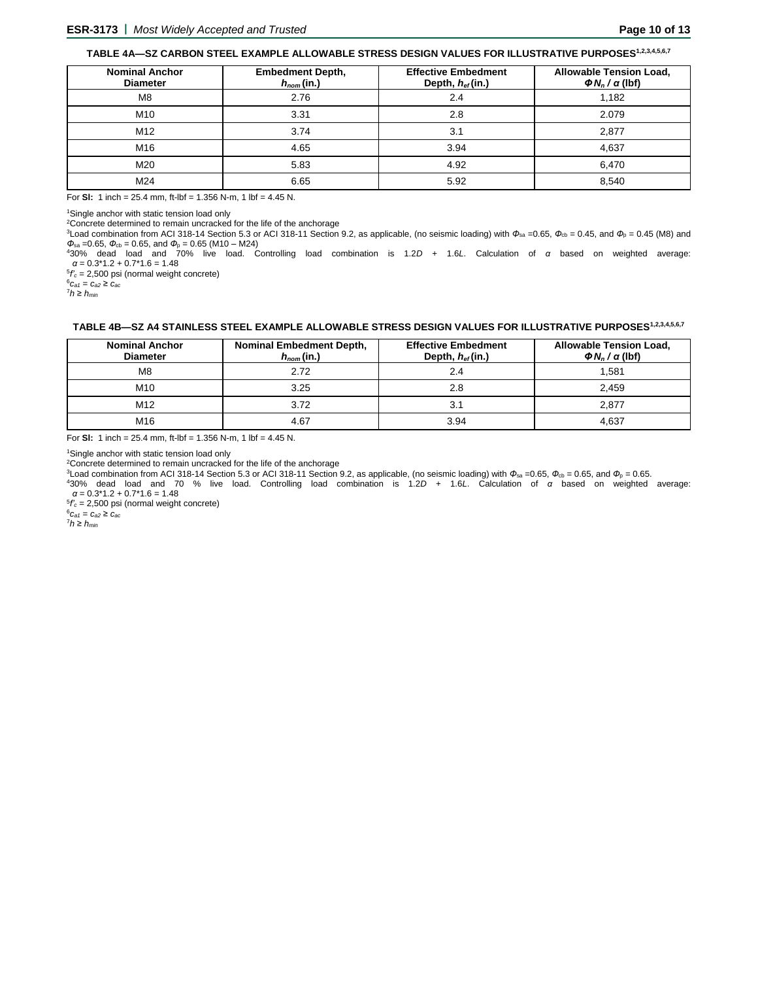# **TABLE 4A—SZ CARBON STEEL EXAMPLE ALLOWABLE STRESS DESIGN VALUES FOR ILLUSTRATIVE PURPOSES1,2,3,4,5,6,7**

| <b>Nominal Anchor</b><br><b>Diameter</b> | <b>Embedment Depth,</b><br>$h_{nom}(in.)$ | <b>Effective Embedment</b><br>Depth, hef(in.) | <b>Allowable Tension Load,</b><br>$\Phi N_n / \alpha$ (lbf) |
|------------------------------------------|-------------------------------------------|-----------------------------------------------|-------------------------------------------------------------|
| M8                                       | 2.76                                      | 2.4                                           | 1.182                                                       |
| M10                                      | 3.31                                      | 2.8                                           | 2.079                                                       |
| M12                                      | 3.74                                      | 3.1                                           | 2,877                                                       |
| M16                                      | 4.65                                      | 3.94                                          | 4,637                                                       |
| M20                                      | 5.83                                      | 4.92                                          | 6,470                                                       |
| M24                                      | 6.65                                      | 5.92                                          | 8.540                                                       |

For **Sl:** 1 inch = 25.4 mm, ft-lbf = 1.356 N-m, 1 lbf = 4.45 N.

<sup>1</sup>Single anchor with static tension load only

<sup>2</sup>Concrete determined to remain uncracked for the life of the anchorage

<sup>3</sup>Load combination from ACI 318-14 Section 5.3 or ACI 318-11 Section 9.2, as applicable, (no seismic loading) with  $\Phi_{sa} = 0.65$ ,  $\Phi_{cb} = 0.45$ , and  $\Phi_p = 0.45$  (M8) and  $\Phi_{\rm sa}$  =0.65,  $\Phi_{\rm cb}$  = 0.65, and  $\Phi_{\rm p}$  = 0.65 (M10 – M24)

<sup>4</sup>30% dead load and 70% live load. Controlling load combination is 1.2*D* + 1.6*L*. Calculation of *α* based on weighted average: *α* = 0.3\*1.2 + 0.7\*1.6 = 1.48

5 *f'<sup>c</sup>* = 2,500 psi (normal weight concrete)

 ${}^{6}C_{a1} = C_{a2} \geq C_{ac}$ 

<sup>7</sup>*h* ≥ *hmin*

# **TABLE 4B—SZ A4 STAINLESS STEEL EXAMPLE ALLOWABLE STRESS DESIGN VALUES FOR ILLUSTRATIVE PURPOSES1,2,3,4,5,6,7**

| <b>Nominal Anchor</b><br><b>Diameter</b> | <b>Nominal Embedment Depth,</b><br>$h_{nom}(in.)$ | <b>Effective Embedment</b><br>Depth, $h_{ef}$ (in.) | <b>Allowable Tension Load,</b><br>$\Phi N_n / \alpha$ (lbf) |
|------------------------------------------|---------------------------------------------------|-----------------------------------------------------|-------------------------------------------------------------|
| M8                                       | 2.72                                              | 2.4                                                 | 1.581                                                       |
| M <sub>10</sub>                          | 3.25                                              | 2.8                                                 | 2.459                                                       |
| M <sub>12</sub>                          | 3.72                                              | 3.1                                                 | 2.877                                                       |
| M <sub>16</sub>                          | 4.67                                              | 3.94                                                | 4.637                                                       |

For **Sl:** 1 inch = 25.4 mm, ft-lbf = 1.356 N-m, 1 lbf = 4.45 N.

<sup>1</sup>Single anchor with static tension load only

<sup>2</sup>Concrete determined to remain uncracked for the life of the anchorage

<sup>3</sup>Load combination from ACI 318-14 Section 5.3 or ACI 318-11 Section 9.2, as applicable, (no seismic loading) with  $\Phi_{sa} = 0.65$ ,  $\Phi_{cb} = 0.65$ , and  $\Phi_p = 0.65$ .

<sup>4</sup>30% dead load and 70 % live load. Controlling load combination is 1.2*D* + 1.6*L*. Calculation of *α* based on weighted average: *α* = 0.3\*1.2 + 0.7\*1.6 = 1.48

5 *f'<sup>c</sup>* = 2,500 psi (normal weight concrete)

 $^{6}C_{a1} = C_{a2} \geq C_{ac}$ 

<sup>7</sup>*h* ≥ *hmin*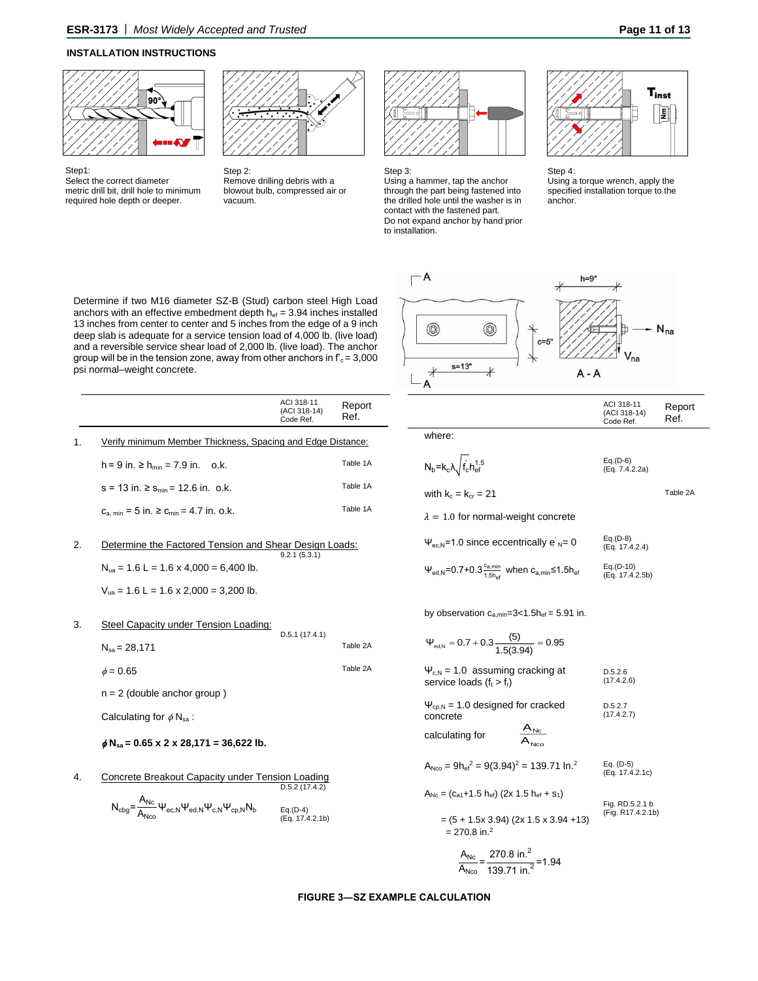### **INSTALLATION INSTRUCTIONS**



Select the correct diameter metric drill bit, drill hole to minimum required hole depth or deeper.

Step1:



Step 2: Remove drilling debris with a blowout bulb, compressed air or vacuum.



Step 3:

Using a hammer, tap the anchor through the part being fastened into the drilled hole until the washer is in contact with the fastened part. Do not expand anchor by hand prior to installation.



Step 4: Using a torque wrench, apply the specified installation torque to the anchor.

ACI 318-11 (ACI 318-14) Code Ref.

Report Ref.

Table 2A

Determine if two M16 diameter SZ-B (Stud) carbon steel High Load anchors with an effective embedment depth  $h_{ef} = 3.94$  inches installed 13 inches from center to center and 5 inches from the edge of a 9 inch deep slab is adequate for a service tension load of 4,000 lb. (live load) and a reversible service shear load of 2,000 lb. (live load). The anchor group will be in the tension zone, away from other anchors in  $f_c = 3,000$ psi normal–weight concrete.

|                                                             | ACI 318-11<br>(ACI 318-14)<br>Code Ref. | Report<br>Ref. |
|-------------------------------------------------------------|-----------------------------------------|----------------|
| Verify minimum Member Thickness, Spacing and Edge Distance: |                                         |                |
| $h = 9$ in. $\geq h_{min} = 7.9$ in. o.k.                   |                                         | Table 1A       |
| $s = 13$ in. $\ge s_{\min} = 12.6$ in. o.k.                 |                                         | Table 1A       |
| $C_{a,min} = 5$ in. $\ge C_{min} = 4.7$ in. o.k.            |                                         | Table 1A       |

# 2. Determine the Factored Tension and Shear Design Loads: 9.2.1 (5.3.1)  $N_{ua} = 1.6 L = 1.6 \times 4,000 = 6,400 lb.$

 $V_{ua} = 1.6 L = 1.6 \times 2,000 = 3,200 lb.$ 

#### 3. Steel Capacity under Tension Loading:

| $N_{sa}$ = 28,171             | - - - - - - - - - - - - | Table 2A |
|-------------------------------|-------------------------|----------|
| $\phi = 0.65$                 |                         | Table 2A |
| $n = 2$ (double anchor group) |                         |          |

D.5.1 (17.4.1)

Calculating for  $\phi N_{\text{sa}}$ :

# **Nsa = 0.65 x 2 x 28,171 = 36,622 lb.**

4. Concrete Breakout Capacity under Tension Loading D.5.2 (17.4.2)

$$
N_{cbg} = \frac{A_{Nc}}{A_{Nco}} \Psi_{ec,N} \Psi_{ed,N} \Psi_{c,N} \Psi_{cp,N} N_b
$$
  
Eq.(D-4)  
(Eq. 17.4.2.1b)



| Ĩ.<br>×<br>٧ |  |
|--------------|--|

| $N_b = k_c \lambda \sqrt{f_c h_{ef}^{1.5}}$ | $Eq.(D-6)$<br>(Eq. 7.4.2.2a) |
|---------------------------------------------|------------------------------|
|                                             |                              |

with  $k_c = k_{cr} = 21$ 

 $\lambda = 1.0$  for normal-weight concrete

| $\Psi_{\text{ec,N}}$ =1.0 since eccentrically e' <sub>N</sub> = 0                                                     | $Eq.(D-8)$<br>(Eq. 17.4.2.4)   |  |  |
|-----------------------------------------------------------------------------------------------------------------------|--------------------------------|--|--|
| $\Psi_{\text{ed},N}$ =0.7+0.3 $\frac{c_{a,\text{min}}}{1.5h_{\text{ef}}}$ when $c_{a,\text{min}}$ ≤1.5h <sub>ef</sub> | $Eq.(D-10)$<br>(Eq. 17.4.2.5b) |  |  |

by observation  $c_{a,min}=3(1.5h_{ef}=5.91$  in.

$$
\Psi_{\text{ed,N}} = 0.7 + 0.3 \frac{(5)}{1.5(3.94)} = 0.95
$$
\n
$$
\Psi_{\text{c,N}} = 1.0 \text{ assuming cracking at service loads } (f_t > f_t) \qquad (17.4.2.6)
$$
\n
$$
\Psi_{\text{cp,N}} = 1.0 \text{ designed for cracked} \qquad (17.4.2.7)
$$
\n
$$
\Psi_{\text{cp,N}} = 1.0 \text{ designed for cracked} \qquad (17.4.2.7)
$$
\n
$$
\mathbf{A}_{\text{Nco}} = \text{Calculate the formula: } \mathbf{A}_{\text{Nco}}
$$
\n
$$
\mathbf{A}_{\text{Nco}} = 9\mathbf{h}_{\text{ef}}^2 = 9(3.94)^2 = 139.71 \text{ ln}^2 \qquad \text{Eq. (D-5)} \qquad (\text{Eq. 17.4.2.1c})
$$
\n
$$
\mathbf{A}_{\text{Nco}} = (\text{Ca}_{1} + 1.5 \text{ h}_{\text{ef}}) (2x \text{ 1.5 h}_{\text{ef}} + s_1)
$$
\n
$$
= (5 + 1.5x \text{ 3.94}) (2x \text{ 1.5 x 3.94 + 13}) \qquad \text{Fig. RD.5.2.1 b}
$$
\n
$$
= 270.8 \text{ in}^2 \qquad \text{A}_{\text{Nc}} = 270.8 \text{ in}^2 \qquad \text{A}_{\text{Nc}} = 4.04
$$

$$
\frac{A_{\text{Nc}}}{A_{\text{Nco}}} = \frac{270.6 \text{ m}}{139.71 \text{ in.}^2} = 1.94
$$

#### **FIGURE 3―SZ EXAMPLE CALCULATION**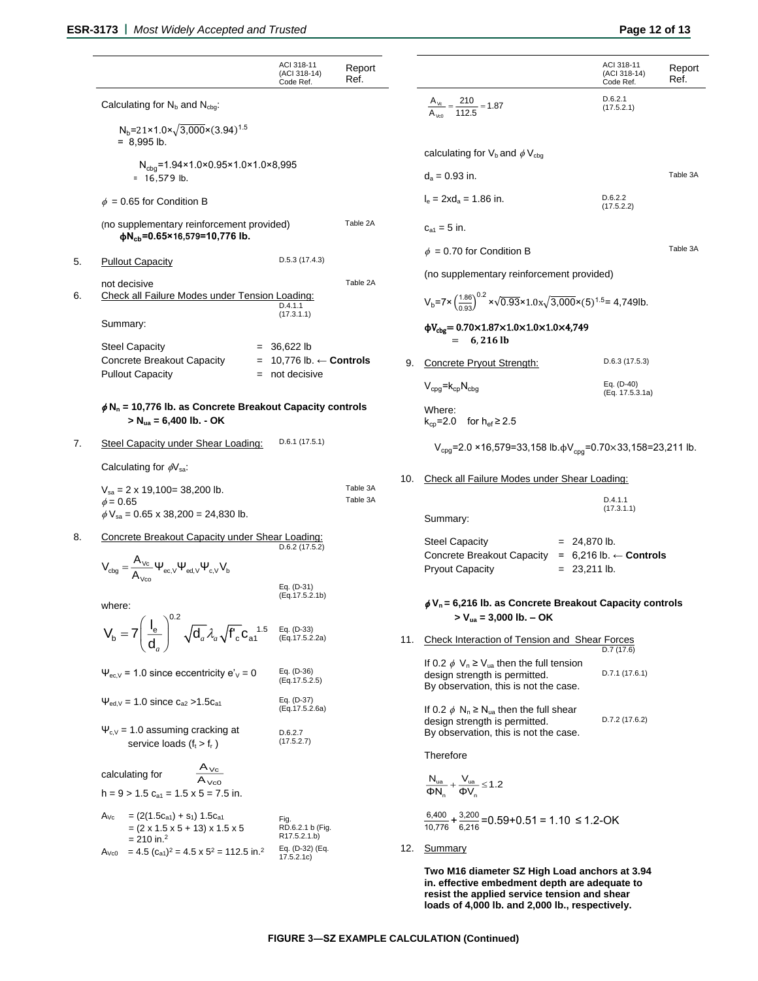|    |                                                                                                                              | ACI 318-11<br>(ACI 318-14)<br>Code Ref.                                                  | Report<br>Ref. |                                          |                                                                                                                                                                                                   | ACI 318-11<br>(ACI 318-14)<br>Code Ref. | Report<br>Ref. |  |
|----|------------------------------------------------------------------------------------------------------------------------------|------------------------------------------------------------------------------------------|----------------|------------------------------------------|---------------------------------------------------------------------------------------------------------------------------------------------------------------------------------------------------|-----------------------------------------|----------------|--|
|    | Calculating for $N_b$ and $N_{cba}$ .                                                                                        |                                                                                          |                |                                          | $\frac{A_{\nu c}}{A_{\nu c}} = \frac{210}{112.5} = 1.87$                                                                                                                                          | D.6.2.1<br>(17.5.2.1)                   |                |  |
|    | $N_b = 21 \times 1.0 \times \sqrt{3,000} \times (3.94)^{1.5}$<br>$= 8.995$ lb.                                               |                                                                                          |                |                                          |                                                                                                                                                                                                   |                                         |                |  |
|    | $N_{cbq} = 1.94 \times 1.0 \times 0.95 \times 1.0 \times 1.0 \times 8,995$                                                   |                                                                                          |                | calculating for $V_b$ and $\phi V_{cba}$ |                                                                                                                                                                                                   |                                         |                |  |
|    | $= 16,579$ lb.                                                                                                               |                                                                                          |                |                                          | $d_a = 0.93$ in.                                                                                                                                                                                  |                                         | Table 3A       |  |
|    | $\phi = 0.65$ for Condition B                                                                                                |                                                                                          |                |                                          | $I_a = 2xd_a = 1.86$ in.                                                                                                                                                                          | D.6.2.2<br>(17.5.2.2)                   |                |  |
|    | (no supplementary reinforcement provided)<br>$\phi$ N <sub>cb</sub> =0.65×16,579=10,776 lb.                                  |                                                                                          | Table 2A       |                                          | $c_{a1} = 5$ in.                                                                                                                                                                                  |                                         |                |  |
| 5. | <b>Pullout Capacity</b>                                                                                                      | $D.5.3$ (17.4.3)                                                                         |                |                                          | $\phi = 0.70$ for Condition B                                                                                                                                                                     |                                         | Table 3A       |  |
|    | not decisive                                                                                                                 | (no supplementary reinforcement provided)<br>Table 2A                                    |                |                                          |                                                                                                                                                                                                   |                                         |                |  |
| 6. |                                                                                                                              | Check all Failure Modes under Tension Loading:<br>D.4.1.1<br>(17.3.1.1)<br>$= 36,622$ lb |                |                                          | $V_b$ =7× $\left(\frac{1.86}{0.93}\right)^{0.2}$ × $\sqrt{0.93}$ × $1.0x\sqrt{3,000}$ × $(5)^{1.5}$ = 4,749lb.                                                                                    |                                         |                |  |
|    | Summary:<br><b>Steel Capacity</b>                                                                                            |                                                                                          |                |                                          | $\phi V_{\text{cbg}} = 0.70 \times 1.87 \times 1.0 \times 1.0 \times 1.0 \times 4,749$<br>$= 6,216$ lb                                                                                            |                                         |                |  |
|    | Concrete Breakout Capacity                                                                                                   | $= 10,776$ lb. $\leftarrow$ Controls                                                     |                | 9.                                       | Concrete Pryout Strength:                                                                                                                                                                         | $D.6.3$ (17.5.3)                        |                |  |
|    | <b>Pullout Capacity</b>                                                                                                      | $=$ not decisive                                                                         |                |                                          | $V_{cpq}$ = $k_{cp}N_{cbq}$                                                                                                                                                                       | Eq. (D-40)<br>(Eq. 17.5.3.1a)           |                |  |
|    | $\phi$ N <sub>n</sub> = 10,776 lb. as Concrete Breakout Capacity controls<br>$> N_{ua} = 6,400$ lb. - OK                     |                                                                                          |                |                                          | Where:<br>$k_{cp} = 2.0$ for $h_{ef} \ge 2.5$                                                                                                                                                     |                                         |                |  |
| 7. | Steel Capacity under Shear Loading:                                                                                          | D.6.1(17.5.1)                                                                            |                |                                          | V <sub>cpg</sub> =2.0 ×16,579=33,158 lb. $\phi$ V <sub>cpg</sub> =0.70×33,158=23,211 lb.                                                                                                          |                                         |                |  |
|    | Calculating for $\phi$ V <sub>sa</sub> :                                                                                     |                                                                                          |                |                                          |                                                                                                                                                                                                   |                                         |                |  |
|    | $V_{sa} = 2 \times 19,100 = 38,200$ lb.                                                                                      | Table 3A<br>Table 3A                                                                     |                | 10.                                      | Check all Failure Modes under Shear Loading:                                                                                                                                                      |                                         |                |  |
|    | $\phi = 0.65$<br>$\phi$ V <sub>sa</sub> = 0.65 x 38,200 = 24,830 lb.                                                         |                                                                                          |                |                                          | Summary:                                                                                                                                                                                          | D.4.1.1<br>(17.3.1.1)                   |                |  |
| 8. | Concrete Breakout Capacity under Shear Loading:                                                                              | $D.6.2$ (17.5.2)                                                                         |                |                                          | <b>Steel Capacity</b>                                                                                                                                                                             | $= 24,870$ lb.                          |                |  |
|    | $V_{\text{cbg}} = \frac{A_{\text{Vc}}}{\Delta} \Psi_{\text{ec,V}} \Psi_{\text{ed,V}} \Psi_{\text{c,V}} V_{\text{b}}$         |                                                                                          |                |                                          | Concrete Breakout Capacity = $6,216$ lb. $\leftarrow$ Controls<br><b>Pryout Capacity</b>                                                                                                          | $= 23,211$ lb.                          |                |  |
|    |                                                                                                                              | Eq. (D-31)<br>(Eq.17.5.2.1b)                                                             |                |                                          |                                                                                                                                                                                                   |                                         |                |  |
|    | where:                                                                                                                       |                                                                                          |                |                                          | $\phi$ V <sub>n</sub> = 6,216 lb. as Concrete Breakout Capacity controls<br>$>$ V <sub>ua</sub> = 3,000 lb. – OK                                                                                  |                                         |                |  |
|    | $V_b = 7 \left(\frac{l_e}{d_a}\right)^{0.2} \sqrt{d_a} \lambda_a \sqrt{f'_c} c_{a1}^{1.5}$ Eq. (D-33)<br>(Eq. 17.5.2.2a)     |                                                                                          |                | 11.                                      | Check Interaction of Tension and Shear Forces                                                                                                                                                     | D.7(17.6)                               |                |  |
|    | $\Psi_{\rm ec,V}$ = 1.0 since eccentricity e' <sub>V</sub> = 0                                                               | Eq. (D-36)<br>(Eq.17.5.2.5)                                                              |                |                                          | If 0.2 $\phi$ V <sub>n</sub> $\geq$ V <sub>ua</sub> then the full tension<br>design strength is permitted.<br>By observation, this is not the case.                                               | D.7.1 (17.6.1)                          |                |  |
|    | $\Psi_{\text{ed,V}} = 1.0$ since $c_{a2} > 1.5c_{a1}$                                                                        | Eq. (D-37)<br>(Eq.17.5.2.6a)                                                             |                |                                          | If 0.2 $\phi$ N <sub>n</sub> $\geq$ N <sub>ua</sub> then the full shear<br>D.7.2 (17.6.2)<br>design strength is permitted.                                                                        |                                         |                |  |
|    | $\Psi_{cV}$ = 1.0 assuming cracking at<br>service loads $(f_t > f_r)$                                                        | D.6.2.7<br>(17.5.2.7)                                                                    |                |                                          | By observation, this is not the case.                                                                                                                                                             |                                         |                |  |
|    |                                                                                                                              |                                                                                          |                |                                          | Therefore                                                                                                                                                                                         |                                         |                |  |
|    | $\frac{A_{\text{Vc}}}{A_{\text{Vc}}}$<br>calculating for<br>h = $9 > 1.5$ C <sub>a1</sub> = $1.5 \times 5 = 7.5$ in.         |                                                                                          |                |                                          | $\frac{N_{ua}}{\Phi N_{n}} + \frac{V_{ua}}{\Phi V_{n}} \le 1.2$                                                                                                                                   |                                         |                |  |
|    | $= (2(1.5ca1) + s1) 1.5ca1$<br>Av <sub>c</sub><br>$=(2 \times 1.5 \times 5 + 13) \times 1.5 \times 5$                        | Fig.<br>RD.6.2.1 b (Fig.                                                                 |                |                                          | $\frac{6,400}{10.776} + \frac{3,200}{6.216} = 0.59 + 0.51 = 1.10 \le 1.2 - OK$                                                                                                                    |                                         |                |  |
|    | $= 210$ in. <sup>2</sup><br>$A_{\text{Vc0}} = 4.5$ ( $c_{a1}$ ) <sup>2</sup> = 4.5 x 5 <sup>2</sup> = 112.5 in. <sup>2</sup> | R17.5.2.1.b)<br>Eq. (D-32) (Eq.<br>17.5.2.1c                                             |                |                                          | 12. Summary                                                                                                                                                                                       |                                         |                |  |
|    |                                                                                                                              |                                                                                          |                |                                          | Two M16 diameter SZ High Load anchors at 3.94<br>in. effective embedment depth are adequate to<br>resist the applied service tension and shear<br>loads of 4,000 lb. and 2,000 lb., respectively. |                                         |                |  |